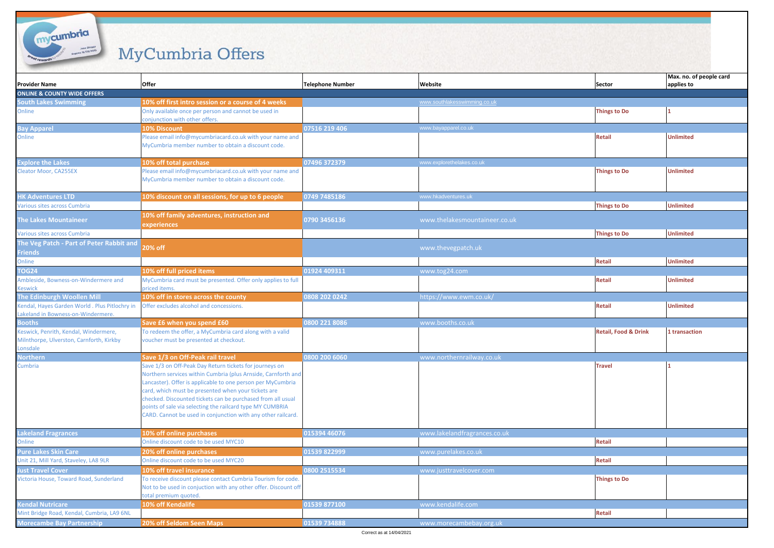## MyCumbria Offers

mycumbria

| <b>Provider Name</b>                                                                          | Offer                                                                                                                                                                                                                                                                                                                                                                                                                                      | <b>Telephone Number</b> | Website                       | Sector                          | Max. no. of people card<br>applies to |
|-----------------------------------------------------------------------------------------------|--------------------------------------------------------------------------------------------------------------------------------------------------------------------------------------------------------------------------------------------------------------------------------------------------------------------------------------------------------------------------------------------------------------------------------------------|-------------------------|-------------------------------|---------------------------------|---------------------------------------|
| <b>ONLINE &amp; COUNTY WIDE OFFERS</b>                                                        |                                                                                                                                                                                                                                                                                                                                                                                                                                            |                         |                               |                                 |                                       |
| <b>South Lakes Swimming</b>                                                                   | 10% off first intro session or a course of 4 weeks                                                                                                                                                                                                                                                                                                                                                                                         |                         | www.southlakesswimming.co.uk  |                                 |                                       |
| Online                                                                                        | Only available once per person and cannot be used in<br>conjunction with other offers.                                                                                                                                                                                                                                                                                                                                                     |                         |                               | <b>Things to Do</b>             | 1                                     |
| <b>Bay Apparel</b>                                                                            | 10% Discount                                                                                                                                                                                                                                                                                                                                                                                                                               | 07516 219 406           | www.bayapparel.co.uk          |                                 |                                       |
| Online                                                                                        | Please email info@mycumbriacard.co.uk with your name and<br>MyCumbria member number to obtain a discount code.                                                                                                                                                                                                                                                                                                                             |                         |                               | <b>Retail</b>                   | <b>Unlimited</b>                      |
| <b>Explore the Lakes</b>                                                                      | 10% off total purchase                                                                                                                                                                                                                                                                                                                                                                                                                     | 07496 372379            | www.explorethelakes.co.uk     |                                 |                                       |
| <b>Cleator Moor, CA255EX</b>                                                                  | Please email info@mycumbriacard.co.uk with your name and<br>MyCumbria member number to obtain a discount code.                                                                                                                                                                                                                                                                                                                             |                         |                               | <b>Things to Do</b>             | <b>Unlimited</b>                      |
| <b>HK Adventures LTD</b>                                                                      | 10% discount on all sessions, for up to 6 people                                                                                                                                                                                                                                                                                                                                                                                           | 0749 7485186            | www.hkadventures.uk           |                                 |                                       |
| <b>Various sites across Cumbria</b>                                                           |                                                                                                                                                                                                                                                                                                                                                                                                                                            |                         |                               | <b>Things to Do</b>             | <b>Unlimited</b>                      |
| <b>The Lakes Mountaineer</b>                                                                  | 10% off family adventures, instruction and<br>experiences                                                                                                                                                                                                                                                                                                                                                                                  | 0790 3456136            | www.thelakesmountaineer.co.uk |                                 |                                       |
| <b>Various sites across Cumbria</b>                                                           |                                                                                                                                                                                                                                                                                                                                                                                                                                            |                         |                               | <b>Things to Do</b>             | <b>Unlimited</b>                      |
| The Veg Patch - Part of Peter Rabbit and<br><b>Friends</b>                                    | 20% off                                                                                                                                                                                                                                                                                                                                                                                                                                    |                         | www.thevegpatch.uk            |                                 |                                       |
| Online                                                                                        |                                                                                                                                                                                                                                                                                                                                                                                                                                            |                         |                               | <b>Retail</b>                   | <b>Unlimited</b>                      |
| <b>TOG24</b>                                                                                  | 10% off full priced items                                                                                                                                                                                                                                                                                                                                                                                                                  | 01924 409311            | www.tog24.com                 |                                 |                                       |
| Ambleside, Bowness-on-Windermere and<br>Keswick                                               | MyCumbria card must be presented. Offer only applies to full<br>priced items.                                                                                                                                                                                                                                                                                                                                                              |                         |                               | Retail                          | <b>Unlimited</b>                      |
| The Edinburgh Woollen Mill                                                                    | 10% off in stores across the county                                                                                                                                                                                                                                                                                                                                                                                                        | 0808 202 0242           | https://www.ewm.co.uk/        |                                 |                                       |
| Kendal, Hayes Garden World. Plus Pitlochry in<br>akeland in Bowness-on-Windermere.            | Offer excludes alcohol and concessions.                                                                                                                                                                                                                                                                                                                                                                                                    |                         |                               | Retail                          | <b>Unlimited</b>                      |
| <b>Booths</b>                                                                                 | Save £6 when you spend £60                                                                                                                                                                                                                                                                                                                                                                                                                 | 0800 221 8086           | www.booths.co.uk              |                                 |                                       |
| Keswick, Penrith, Kendal, Windermere,<br>Milnthorpe, Ulverston, Carnforth, Kirkby<br>.onsdale | To redeem the offer, a MyCumbria card along with a valid<br>voucher must be presented at checkout.                                                                                                                                                                                                                                                                                                                                         |                         |                               | <b>Retail, Food &amp; Drink</b> | 1 transaction                         |
| <b>Northern</b>                                                                               | Save 1/3 on Off-Peak rail travel                                                                                                                                                                                                                                                                                                                                                                                                           | 0800 200 6060           | www.northernrailway.co.uk     |                                 |                                       |
| Cumbria                                                                                       | Save 1/3 on Off-Peak Day Return tickets for journeys on<br>Northern services within Cumbria (plus Arnside, Carnforth and<br>Lancaster). Offer is applicable to one person per MyCumbria<br>card, which must be presented when your tickets are<br>checked. Discounted tickets can be purchased from all usual<br>points of sale via selecting the railcard type MY CUMBRIA<br>CARD. Cannot be used in conjunction with any other railcard. |                         |                               | <b>Travel</b>                   |                                       |
| <b>Lakeland Fragrances</b>                                                                    | 10% off online purchases                                                                                                                                                                                                                                                                                                                                                                                                                   | 015394 46076            | www.lakelandfragrances.co.uk  |                                 |                                       |
| Online                                                                                        | Online discount code to be used MYC10                                                                                                                                                                                                                                                                                                                                                                                                      |                         |                               | Retail                          |                                       |
| <b>Pure Lakes Skin Care</b>                                                                   | 20% off online purchases                                                                                                                                                                                                                                                                                                                                                                                                                   | 01539 822999            | www.purelakes.co.uk           |                                 |                                       |
| Unit 21, Mill Yard, Staveley, LA8 9LR                                                         | Online discount code to be used MYC20                                                                                                                                                                                                                                                                                                                                                                                                      |                         |                               | Retail                          |                                       |
| lust Travel Cover                                                                             | 10% off travel insurance                                                                                                                                                                                                                                                                                                                                                                                                                   | 0800 2515534            | www.justtravelcover.com       |                                 |                                       |
| Victoria House, Toward Road, Sunderland                                                       | To receive discount please contact Cumbria Tourism for code.<br>Not to be used in conjuction with any other offer. Discount off<br>total premium quoted.                                                                                                                                                                                                                                                                                   |                         |                               | <b>Things to Do</b>             |                                       |
| <b>Kendal Nutricare</b>                                                                       | 10% off Kendalife                                                                                                                                                                                                                                                                                                                                                                                                                          | 01539 877100            | www.kendalife.com             |                                 |                                       |
| Mint Bridge Road, Kendal, Cumbria, LA9 6NL                                                    |                                                                                                                                                                                                                                                                                                                                                                                                                                            |                         |                               | Retail                          |                                       |
| <b>Morecambe Bay Partnership</b>                                                              | 20% off Seldom Seen Maps                                                                                                                                                                                                                                                                                                                                                                                                                   | 01539 734888            | www.morecambebay.org.uk       |                                 |                                       |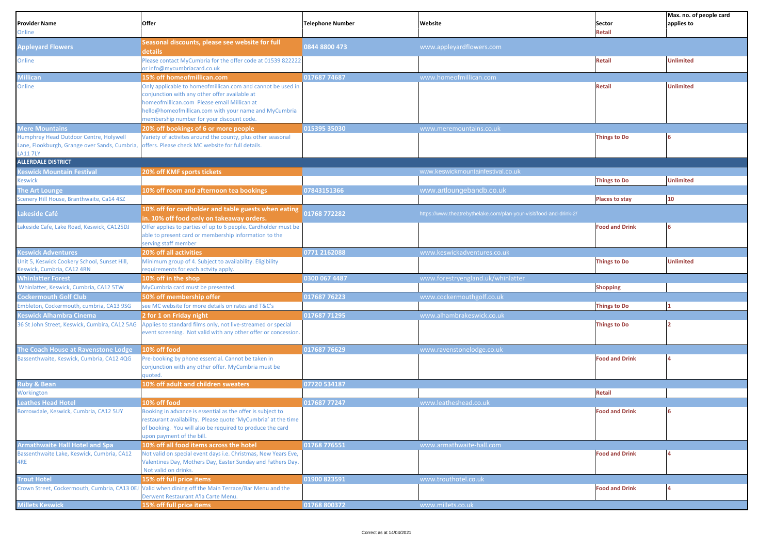| <b>Provider Name</b><br>Online                                             | Offer                                                                                                                          | <b>Telephone Number</b> | Website                                                            | Sector<br><b>Retail</b> | Max. no. of people card<br>applies to |
|----------------------------------------------------------------------------|--------------------------------------------------------------------------------------------------------------------------------|-------------------------|--------------------------------------------------------------------|-------------------------|---------------------------------------|
| <b>Appleyard Flowers</b>                                                   | Seasonal discounts, please see website for full<br>details                                                                     | 0844 8800 473           | www.appleyardflowers.com                                           |                         |                                       |
| Online                                                                     | Please contact MyCumbria for the offer code at 01539 822222<br>or info@mycumbriacard.co.uk                                     |                         |                                                                    | <b>Retail</b>           | <b>Unlimited</b>                      |
| Millican                                                                   | 15% off homeofmillican.com                                                                                                     | 017687 74687            | www.homeofmillican.com                                             |                         |                                       |
| Online                                                                     | Only applicable to homeofmillican.com and cannot be used in                                                                    |                         |                                                                    | <b>Retail</b>           | <b>Unlimited</b>                      |
|                                                                            | conjunction with any other offer available at                                                                                  |                         |                                                                    |                         |                                       |
|                                                                            | homeofmillican.com Please email Millican at<br>nello@homeofmillican.com with your name and MyCumbria                           |                         |                                                                    |                         |                                       |
|                                                                            | membership number for your discount code.                                                                                      |                         |                                                                    |                         |                                       |
| <b>Mere Mountains</b>                                                      | 20% off bookings of 6 or more people                                                                                           | 015395 35030            | www.meremountains.co.uk                                            |                         |                                       |
| Humphrey Head Outdoor Centre, Holywell                                     | Variety of activites around the county, plus other seasonal                                                                    |                         |                                                                    | <b>Things to Do</b>     |                                       |
| Lane, Flookburgh, Grange over Sands, Cumbria,                              | offers. Please check MC website for full details.                                                                              |                         |                                                                    |                         |                                       |
| <b>LA117LY</b><br><b>ALLERDALE DISTRICT</b>                                |                                                                                                                                |                         |                                                                    |                         |                                       |
| <b>Keswick Mountain Festival</b>                                           | 20% off KMF sports tickets                                                                                                     |                         | www.keswickmountainfestival.co.uk                                  |                         |                                       |
| Keswick                                                                    |                                                                                                                                |                         |                                                                    | <b>Things to Do</b>     | <b>Unlimited</b>                      |
| The Art Lounge                                                             | 10% off room and afternoon tea bookings                                                                                        | 07843151366             | www.artloungebandb.co.uk                                           |                         |                                       |
| Scenery Hill House, Branthwaite, Ca14 4SZ                                  |                                                                                                                                |                         |                                                                    | <b>Places to stay</b>   | 10                                    |
|                                                                            | 10% off for cardholder and table guests when eating                                                                            |                         |                                                                    |                         |                                       |
| akeside Café                                                               | in. 10% off food only on takeaway orders.                                                                                      | 01768 772282            | https://www.theatrebythelake.com/plan-your-visit/food-and-drink-2/ |                         |                                       |
| Lakeside Cafe, Lake Road, Keswick, CA125DJ                                 | Offer applies to parties of up to 6 people. Cardholder must be                                                                 |                         |                                                                    | <b>Food and Drink</b>   |                                       |
|                                                                            | able to present card or membership information to the<br>serving staff member                                                  |                         |                                                                    |                         |                                       |
| <b>Keswick Adventures</b>                                                  | <b>20% off all activities</b>                                                                                                  | 0771 2162088            | www.keswickadventures.co.uk                                        |                         |                                       |
| Unit 5, Keswick Cookery School, Sunset Hill,<br>Keswick, Cumbria, CA12 4RN | Minimum group of 4. Subject to availability. Eligibility<br>requirements for each actvity apply.                               |                         |                                                                    | <b>Things to Do</b>     | <b>Unlimited</b>                      |
| <b>Whinlatter Forest</b>                                                   | 10% off in the shop                                                                                                            | 0300 067 4487           | www.forestryengland.uk/whinlatter                                  |                         |                                       |
| Whinlatter, Keswick, Cumbria, CA12 5TW                                     | MyCumbria card must be presented.                                                                                              |                         |                                                                    | <b>Shopping</b>         |                                       |
| <b>Cockermouth Golf Club</b>                                               | 50% off membership offer                                                                                                       | 017687 76223            | www.cockermouthgolf.co.uk                                          |                         |                                       |
| Embleton, Cockermouth, cumbria, CA13 9SG                                   | see MC website for more details on rates and T&C's                                                                             |                         |                                                                    | <b>Things to Do</b>     |                                       |
| Keswick Alhambra Cinema                                                    | 2 for 1 on Friday night                                                                                                        | 017687 71295            | www.alhambrakeswick.co.uk                                          |                         |                                       |
| 36 St John Street, Keswick, Cumbira, CA12 5AG                              | Applies to standard films only, not live-streamed or special<br>event screening. Not valid with any other offer or concession. |                         |                                                                    | <b>Things to Do</b>     |                                       |
|                                                                            |                                                                                                                                |                         |                                                                    |                         |                                       |
| The Coach House at Ravenstone Lodge                                        | 10% off food                                                                                                                   | 017687 76629            | www.ravenstonelodge.co.uk                                          |                         |                                       |
| Bassenthwaite, Keswick, Cumbria, CA12 4QG                                  | Pre-booking by phone essential. Cannot be taken in                                                                             |                         |                                                                    | <b>Food and Drink</b>   |                                       |
|                                                                            | conjunction with any other offer. MyCumbria must be<br>quoted                                                                  |                         |                                                                    |                         |                                       |
| <b>Ruby &amp; Bean</b>                                                     | 10% off adult and children sweaters                                                                                            | 07720 534187            |                                                                    |                         |                                       |
| Workington                                                                 |                                                                                                                                |                         |                                                                    | <b>Retail</b>           |                                       |
| <b>Leathes Head Hotel</b>                                                  | 10% off food                                                                                                                   | 017687 77247            | www.leatheshead.co.uk                                              |                         |                                       |
| Borrowdale, Keswick, Cumbria, CA12 5UY                                     | Booking in advance is essential as the offer is subject to                                                                     |                         |                                                                    | <b>Food and Drink</b>   |                                       |
|                                                                            | restaurant availability. Please quote 'MyCumbria' at the time                                                                  |                         |                                                                    |                         |                                       |
|                                                                            | of booking. You will also be required to produce the card                                                                      |                         |                                                                    |                         |                                       |
| <b>Armathwaite Hall Hotel and Spa</b>                                      | upon payment of the bill.<br>10% off all food items across the hotel                                                           | 01768 776551            | www.armathwaite-hall.com                                           |                         |                                       |
| Bassenthwaite Lake, Keswick, Cumbria, CA12                                 | Not valid on special event days i.e. Christmas, New Years Eve,                                                                 |                         |                                                                    | <b>Food and Drink</b>   |                                       |
| 4RE                                                                        | Valentines Day, Mothers Day, Easter Sunday and Fathers Day.                                                                    |                         |                                                                    |                         |                                       |
|                                                                            | Not valid on drinks.                                                                                                           |                         |                                                                    |                         |                                       |
| <b>Trout Hotel</b>                                                         | 15% off full price items                                                                                                       | 01900 823591            | www.trouthotel.co.uk                                               |                         |                                       |
|                                                                            | Crown Street, Cockermouth, Cumbria, CA13 0EJ Valid when dining off the Main Terrace/Bar Menu and the                           |                         |                                                                    | <b>Food and Drink</b>   |                                       |
| <b>Millets Keswick</b>                                                     | Derwent Restaurant A'la Carte Menu.<br>15% off full price items                                                                | 01768 800372            | www.millets.co.uk                                                  |                         |                                       |
|                                                                            |                                                                                                                                |                         |                                                                    |                         |                                       |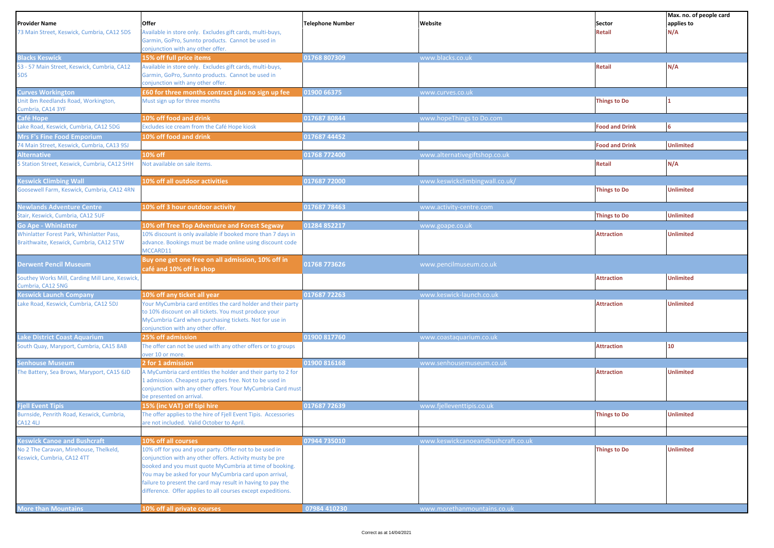| <b>Provider Name</b><br>73 Main Street, Keswick, Cumbria, CA12 5DS     | Offer<br>Available in store only. Excludes gift cards, multi-buys,<br>Garmin, GoPro, Sunnto products. Cannot be used in<br>conjunction with any other offer.                                                                                                                                                                                                            | <b>Telephone Number</b> | Website                            | Sector<br><b>Retail</b> | Max. no. of people card<br>applies to<br>N/A |
|------------------------------------------------------------------------|-------------------------------------------------------------------------------------------------------------------------------------------------------------------------------------------------------------------------------------------------------------------------------------------------------------------------------------------------------------------------|-------------------------|------------------------------------|-------------------------|----------------------------------------------|
| <b>Blacks Keswick</b>                                                  | 15% off full price items                                                                                                                                                                                                                                                                                                                                                | 01768 807309            | www.blacks.co.uk                   |                         |                                              |
| 53 - 57 Main Street, Keswick, Cumbria, CA12<br>5DS                     | Available in store only. Excludes gift cards, multi-buys,<br>Garmin, GoPro, Sunnto products. Cannot be used in<br>conjunction with any other offer.                                                                                                                                                                                                                     |                         |                                    | Retail                  | N/A                                          |
| <b>Curves Workington</b>                                               | £60 for three months contract plus no sign up fee                                                                                                                                                                                                                                                                                                                       | 01900 66375             | www.curves.co.uk                   |                         |                                              |
| Unit Bm Reedlands Road, Workington,<br>Cumbria, CA14 3YF               | Must sign up for three months                                                                                                                                                                                                                                                                                                                                           |                         |                                    | <b>Things to Do</b>     |                                              |
| Café Hope                                                              | 10% off food and drink                                                                                                                                                                                                                                                                                                                                                  | 017687 80844            | www.hopeThings to Do.com           |                         |                                              |
| ake Road, Keswick, Cumbria, CA12 5DG                                   | Excludes ice cream from the Café Hope kiosk                                                                                                                                                                                                                                                                                                                             |                         |                                    | <b>Food and Drink</b>   | 6                                            |
| Mrs F's Fine Food Emporium                                             | 10% off food and drink                                                                                                                                                                                                                                                                                                                                                  | 017687 44452            |                                    |                         |                                              |
| 74 Main Street, Keswick, Cumbria, CA13 9SJ                             |                                                                                                                                                                                                                                                                                                                                                                         |                         |                                    | <b>Food and Drink</b>   | <b>Unlimited</b>                             |
| <b>Alternative</b>                                                     | 10% off                                                                                                                                                                                                                                                                                                                                                                 | 01768 772400            | www.alternativegiftshop.co.uk      |                         |                                              |
| 5 Station Street, Keswick, Cumbria, CA12 5HH                           | Not available on sale items.                                                                                                                                                                                                                                                                                                                                            |                         |                                    | <b>Retail</b>           | N/A                                          |
| <b>Keswick Climbing Wall</b>                                           | 10% off all outdoor activities                                                                                                                                                                                                                                                                                                                                          | 017687 72000            | www.keswickclimbingwall.co.uk/     |                         |                                              |
| Goosewell Farm, Keswick, Cumbria, CA12 4RN                             |                                                                                                                                                                                                                                                                                                                                                                         |                         |                                    | <b>Things to Do</b>     | <b>Unlimited</b>                             |
| <b>Newlands Adventure Centre</b><br>Stair, Keswick, Cumbria, CA12 5UF  | 10% off 3 hour outdoor activity                                                                                                                                                                                                                                                                                                                                         | 017687 78463            | www.activity-centre.com            | <b>Things to Do</b>     | <b>Unlimited</b>                             |
|                                                                        |                                                                                                                                                                                                                                                                                                                                                                         | 01284 852217            |                                    |                         |                                              |
| <b>Go Ape - Whinlatter</b><br>Whinlatter Forest Park, Whinlatter Pass, | 10% off Tree Top Adventure and Forest Segway<br>10% discount is only available if booked more than 7 days in                                                                                                                                                                                                                                                            |                         | www.goape.co.uk                    | <b>Attraction</b>       | <b>Unlimited</b>                             |
| Braithwaite, Keswick, Cumbria, CA12 5TW                                | advance. Bookings must be made online using discount code<br>MCCARD11                                                                                                                                                                                                                                                                                                   |                         |                                    |                         |                                              |
| <b>Derwent Pencil Museum</b>                                           | Buy one get one free on all admission, 10% off in<br>café and 10% off in shop                                                                                                                                                                                                                                                                                           | 01768 773626            | www.pencilmuseum.co.uk             |                         |                                              |
| Southey Works Mill, Carding Mill Lane, Keswick,<br>Cumbria, CA12 5NG   |                                                                                                                                                                                                                                                                                                                                                                         |                         |                                    | <b>Attraction</b>       | <b>Unlimited</b>                             |
| <b>Keswick Launch Company</b>                                          | 10% off any ticket all year                                                                                                                                                                                                                                                                                                                                             | 017687 72263            | www.keswick-launch.co.uk           |                         |                                              |
| Lake Road, Keswick, Cumbria, CA12 5DJ                                  | Your MyCumbria card entitles the card holder and their party<br>to 10% discount on all tickets. You must produce your<br>MyCumbria Card when purchasing tickets. Not for use in<br>conjunction with any other offer.                                                                                                                                                    |                         |                                    | <b>Attraction</b>       | <b>Unlimited</b>                             |
| <b>Lake District Coast Aquarium</b>                                    | 25% off admission                                                                                                                                                                                                                                                                                                                                                       | 01900 817760            | www.coastaquarium.co.uk            |                         |                                              |
| South Quay, Maryport, Cumbria, CA15 8AB                                | The offer can not be used with any other offers or to groups<br>over 10 or more.                                                                                                                                                                                                                                                                                        |                         |                                    | <b>Attraction</b>       | 10 <sub>1</sub>                              |
| <b>Senhouse Museum</b>                                                 | 2 for 1 admission                                                                                                                                                                                                                                                                                                                                                       | 01900 816168            | www.senhousemuseum.co.uk           |                         |                                              |
| The Battery, Sea Brows, Maryport, CA15 6JD                             | A MyCumbria card entitles the holder and their party to 2 for<br>1 admission. Cheapest party goes free. Not to be used in<br>conjunction with any other offers. Your MyCumbria Card must<br>be presented on arrival                                                                                                                                                     |                         |                                    | <b>Attraction</b>       | <b>Unlimited</b>                             |
| <b>Fjell Event Tipis</b>                                               | 15% (inc VAT) off tipi hire                                                                                                                                                                                                                                                                                                                                             | 017687 72639            | www.fjelleventtipis.co.uk          |                         |                                              |
| Burnside, Penrith Road, Keswick, Cumbria,<br><b>CA12 4LJ</b>           | The offer applies to the hire of Fjell Event Tipis. Accessories<br>are not included. Valid October to April.                                                                                                                                                                                                                                                            |                         |                                    | <b>Things to Do</b>     | <b>Unlimited</b>                             |
|                                                                        |                                                                                                                                                                                                                                                                                                                                                                         |                         |                                    |                         |                                              |
| <b>Keswick Canoe and Bushcraft</b>                                     | 10% off all courses                                                                                                                                                                                                                                                                                                                                                     | 07944 735010            | www.keswickcanoeandbushcraft.co.uk |                         |                                              |
| No 2 The Caravan, Mirehouse, Thelkeld,<br>Keswick, Cumbria, CA12 4TT   | 10% off for you and your party. Offer not to be used in<br>conjunction with any other offers. Activity musty be pre<br>booked and you must quote MyCumbria at time of booking.<br>You may be asked for your MyCumbria card upon arrival,<br>failure to present the card may result in having to pay the<br>difference. Offer applies to all courses except expeditions. |                         |                                    | <b>Things to Do</b>     | <b>Unlimited</b>                             |
| <b>More than Mountains</b>                                             | 10% off all private courses                                                                                                                                                                                                                                                                                                                                             | 07984 410230            | www.morethanmountains.co.uk        |                         |                                              |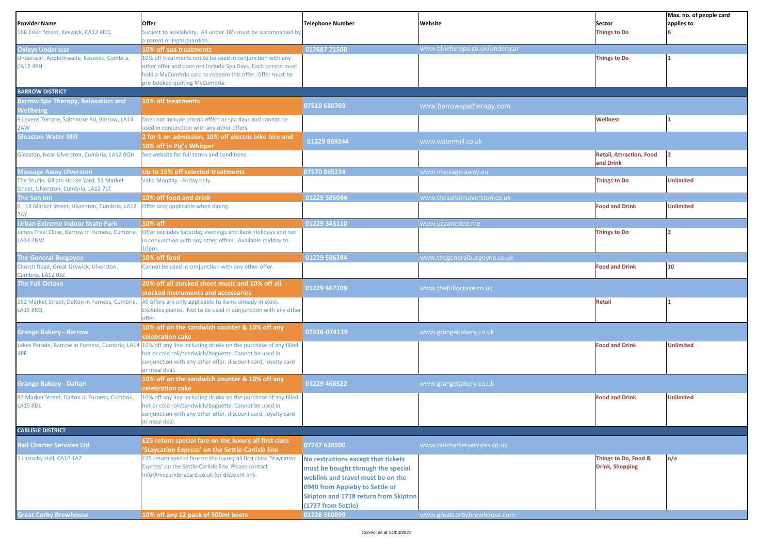|                                                                  |                                                                                                                        |                                      |                                 |                                              | Max. no. of people card |
|------------------------------------------------------------------|------------------------------------------------------------------------------------------------------------------------|--------------------------------------|---------------------------------|----------------------------------------------|-------------------------|
| Provider Name                                                    | Offer                                                                                                                  | <b>Telephone Number</b>              | Website                         | Sector                                       | applies to              |
| 16B Eskin Street, Keswick, CA12 4DQ                              | Subject to availability. All under 18's must be accompanied by<br>a parent or legal guardian.                          |                                      |                                 | <b>Things to Do</b>                          |                         |
| <b>Oxleys Underscar</b>                                          | 10% off spa treatments                                                                                                 | 017687 71500                         | www.bluefishspa.co.uk/underscar |                                              |                         |
| Underscar, Applethwaite, Keswick, Cumbria,                       | 10% off treatments not to be used in conjunction with any                                                              |                                      |                                 | <b>Things to Do</b>                          |                         |
| <b>CA12 4PH</b>                                                  | other offer and does not include Spa Days. Each person must                                                            |                                      |                                 |                                              |                         |
|                                                                  | hold a MyCumbria card to redeem this offer. Offer must be                                                              |                                      |                                 |                                              |                         |
|                                                                  | pre-booked quoting MyCumbria.                                                                                          |                                      |                                 |                                              |                         |
| <b>BARROW DISTRICT</b>                                           |                                                                                                                        |                                      |                                 |                                              |                         |
| <b>Barrow Spa Therapy, Relaxation and</b>                        | 10% off treatments                                                                                                     | 07510 688703                         | www.barrowspatherapy.com        |                                              |                         |
| <b>Nellbeing</b><br>9 Levens Terrace, Salthouse Rd, Barrow, LA14 | Does not include promo offers or spa days and cannot be                                                                |                                      |                                 | <b>Wellness</b>                              |                         |
| AW!                                                              | used in conjunction with any other offers                                                                              |                                      |                                 |                                              |                         |
| <b>Gleaston Water Mill</b>                                       | 2 for 1 on admission, 10% off electric bike hire and                                                                   | 01229 869244                         | www.watermill.co.uk             |                                              |                         |
|                                                                  | 10% off in Pig's Whisper                                                                                               |                                      |                                 |                                              |                         |
| Gleaston, Near Ulverston, Cumbria, LA12 0QH                      | See website for full terms and conditions.                                                                             |                                      |                                 | <b>Retail, Attraction, Food</b><br>and Drink | l2                      |
| <b>Massage Away Ulverston</b>                                    | Up to 15% off selected treatments                                                                                      | 07570 865234                         | www.massage-away.eu             |                                              |                         |
| The Studio, Gillam House Yard, 51 Market                         | Valid Monday - Friday only.                                                                                            |                                      |                                 | <b>Things to Do</b>                          | <b>Unlimited</b>        |
| Street, Ulverston, Cumbria, LA12 7LT                             |                                                                                                                        |                                      |                                 |                                              |                         |
| The Sun Inn                                                      | 10% off food and drink                                                                                                 | 01229 585044                         | www.thesuninnulverston.co.uk    |                                              |                         |
| 6 - 14 Market Street, Ulverston, Cumbria, LA12                   | Offer only applicable when dining.                                                                                     |                                      |                                 | <b>Food and Drink</b>                        | <b>Unlimited</b>        |
| 7AY<br>Urban Extreme Indoor Skate Park                           | 10% off                                                                                                                | 01229 343110                         | www.urbanextre.me               |                                              |                         |
| James Freel Close, Barrow in Furness, Cumbria,                   | Offer excludes Saturday evenings and Bank Holidays and not                                                             |                                      |                                 | <b>Things to Do</b>                          |                         |
| <b>LA14 2NW</b>                                                  | in conjunction with any other offers. Available midday to                                                              |                                      |                                 |                                              |                         |
|                                                                  | 10pm.                                                                                                                  |                                      |                                 |                                              |                         |
| <b>The General Burgoyne</b>                                      | 10% off food                                                                                                           | 01229 586394                         | www.thegeneralburgoyne.co.uk    |                                              |                         |
| Church Road, Great Urswick, Ulverston,                           | Cannot be used in conjunction with any other offer.                                                                    |                                      |                                 | <b>Food and Drink</b>                        | 10 <sup>°</sup>         |
| Cumbria, LA12 0SZ                                                |                                                                                                                        |                                      |                                 |                                              |                         |
| <b>The Full Octave</b>                                           | 20% off all stocked sheet music and 10% off all<br>stocked instruments and accessories                                 | 01229 467109                         | www.thefulloctave.co.uk         |                                              |                         |
| 152 Market Street, Dalton in Furness, Cumbria,                   | All offers are only applicable to items already in stock.                                                              |                                      |                                 | <b>Retail</b>                                |                         |
| LA15 8RQ                                                         | Excludes pianos. Not to be used in conjunction with any other                                                          |                                      |                                 |                                              |                         |
|                                                                  | offer.                                                                                                                 |                                      |                                 |                                              |                         |
| <b>Grange Bakery - Barrow</b>                                    | 10% off on the sandwich counter & 10% off any                                                                          | 07436-074119                         | www.grangebakery.co.uk          |                                              |                         |
|                                                                  | celebration cake                                                                                                       |                                      |                                 |                                              |                         |
| 4PR                                                              | Lakes Parade, Barrow in Furness, Cumbria, LA14 10% off any line including drinks on the purchase of any filled         |                                      |                                 | <b>Food and Drink</b>                        | <b>Unlimited</b>        |
|                                                                  | hot or cold roll/sandwich/baguette. Cannot be used in<br>conjunction with any other offer, discount card, loyalty card |                                      |                                 |                                              |                         |
|                                                                  | or meal deal.                                                                                                          |                                      |                                 |                                              |                         |
| <b>Grange Bakery - Dalton</b>                                    | 10% off on the sandwich counter & 10% off any                                                                          | 01229 468522                         | www.grangebakery.co.uk          |                                              |                         |
|                                                                  | celebration cake                                                                                                       |                                      |                                 |                                              |                         |
| 33 Market Street, Dalton in Furness, Cumbria,                    | 10% off any line including drinks on the purchase of any filled                                                        |                                      |                                 | <b>Food and Drink</b>                        | <b>Unlimited</b>        |
| <b>LA15 8DL</b>                                                  | hot or cold roll/sandwich/baguette. Cannot be used in<br>conjunction with any other offer, discount card, loyalty card |                                      |                                 |                                              |                         |
|                                                                  | or meal deal.                                                                                                          |                                      |                                 |                                              |                         |
| <b>CARLISLE DISTRICT</b>                                         |                                                                                                                        |                                      |                                 |                                              |                         |
|                                                                  | £25 return special fare on the luxury all first class                                                                  | 07747 636500                         |                                 |                                              |                         |
| <b>Rail Charter Services Ltd</b>                                 | 'Staycation Express' on the Settle-Carlisle line                                                                       |                                      | www.railcharterservices.co.uk   |                                              |                         |
| Lazonby Hall, CA10 1AZ                                           | £25 return special fare on the luxury all first class 'Staycation                                                      | No restrictions except that tickets  |                                 | Things to Do, Food &                         | n/a                     |
|                                                                  | Express' on the Settle-Carlisle line. Please contact                                                                   | must be bought through the special   |                                 | <b>Drink, Shopping</b>                       |                         |
|                                                                  | info@mycumbriacard.co.uk for discount link.                                                                            | weblink and travel must be on the    |                                 |                                              |                         |
|                                                                  |                                                                                                                        | 0940 from Appleby to Settle or       |                                 |                                              |                         |
|                                                                  |                                                                                                                        | Skipton and 1718 return from Skipton |                                 |                                              |                         |
|                                                                  |                                                                                                                        | (1737 from Settle)                   |                                 |                                              |                         |
| <b>Great Corby Brewhouse</b>                                     | 10% off any 12 pack of 500ml beers                                                                                     | 01228 560899                         | www.greatcorbybrewhouse.com     |                                              |                         |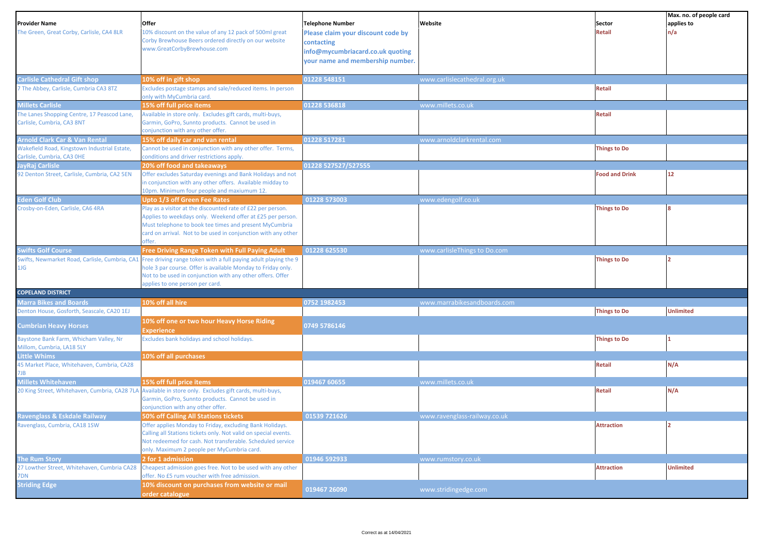| <b>Provider Name</b><br>The Green, Great Corby, Carlisle, CA4 8LR          | Offer<br>10% discount on the value of any 12 pack of 500ml great<br>Corby Brewhouse Beers ordered directly on our website<br>www.GreatCorbyBrewhouse.com                                                                                                       | <b>Telephone Number</b><br>Please claim your discount code by<br>contacting<br>info@mycumbriacard.co.uk quoting<br>your name and membership number. | Website                      | Sector<br><b>Retail</b> | Max. no. of people card<br>applies to<br>n/a |
|----------------------------------------------------------------------------|----------------------------------------------------------------------------------------------------------------------------------------------------------------------------------------------------------------------------------------------------------------|-----------------------------------------------------------------------------------------------------------------------------------------------------|------------------------------|-------------------------|----------------------------------------------|
|                                                                            |                                                                                                                                                                                                                                                                |                                                                                                                                                     |                              |                         |                                              |
| <b>Carlisle Cathedral Gift shop</b>                                        | 10% off in gift shop                                                                                                                                                                                                                                           | 01228 548151                                                                                                                                        | www.carlislecathedral.org.uk |                         |                                              |
| 7 The Abbey, Carlisle, Cumbria CA3 8TZ                                     | Excludes postage stamps and sale/reduced items. In person<br>only with MyCumbria card.                                                                                                                                                                         |                                                                                                                                                     |                              | <b>Retail</b>           |                                              |
| <b>Millets Carlisle</b>                                                    | 15% off full price items                                                                                                                                                                                                                                       | 01228 536818                                                                                                                                        | www.millets.co.uk            |                         |                                              |
| The Lanes Shopping Centre, 17 Peascod Lane,<br>Carlisle, Cumbria, CA3 8NT  | Available in store only. Excludes gift cards, multi-buys,<br>Garmin, GoPro, Sunnto products. Cannot be used in<br>conjunction with any other offer.                                                                                                            |                                                                                                                                                     |                              | <b>Retail</b>           |                                              |
| <b>Arnold Clark Car &amp; Van Rental</b>                                   | 15% off daily car and van rental                                                                                                                                                                                                                               | 01228 517281                                                                                                                                        | www.arnoldclarkrental.com    |                         |                                              |
| Wakefield Road, Kingstown Industrial Estate,<br>Carlisle, Cumbria, CA3 OHE | Cannot be used in conjunction with any other offer. Terms,<br>conditions and driver restrictions apply.                                                                                                                                                        |                                                                                                                                                     |                              | <b>Things to Do</b>     |                                              |
| JayRaj Carlisle<br>92 Denton Street, Carlisle, Cumbria, CA2 5EN            | 20% off food and takeaways<br>Offer excludes Saturday evenings and Bank Holidays and not<br>n conjunction with any other offers. Available midday to<br>10pm. Minimum four people and maxiumum 12.                                                             | 01228 527527/527555                                                                                                                                 |                              | <b>Food and Drink</b>   | 12                                           |
| <b>Eden Golf Club</b>                                                      | <b>Upto 1/3 off Green Fee Rates</b>                                                                                                                                                                                                                            | 01228 573003                                                                                                                                        | www.edengolf.co.uk           |                         |                                              |
| Crosby-on-Eden, Carlisle, CA6 4RA                                          | Play as a visitor at the discounted rate of £22 per person.<br>Applies to weekdays only. Weekend offer at £25 per person.<br>Must telephone to book tee times and present MyCumbria<br>card on arrival. Not to be used in conjunction with any other<br>offer. |                                                                                                                                                     |                              | <b>Things to Do</b>     |                                              |
| <b>Swifts Golf Course</b>                                                  | Free Driving Range Token with Full Paying Adult                                                                                                                                                                                                                | 01228 625530                                                                                                                                        | www.carlisleThings to Do.com |                         |                                              |
| Swifts, Newmarket Road, Carlisle, Cumbria, CA1<br>1JG                      | Free driving range token with a full paying adult playing the 9<br>hole 3 par course. Offer is available Monday to Friday only.<br>Not to be used in conjunction with any other offers. Offer<br>applies to one person per card.                               |                                                                                                                                                     |                              | <b>Things to Do</b>     |                                              |
| <b>COPELAND DISTRICT</b>                                                   |                                                                                                                                                                                                                                                                |                                                                                                                                                     |                              |                         |                                              |
| <b>Marra Bikes and Boards</b>                                              | 10% off all hire                                                                                                                                                                                                                                               | 0752 1982453                                                                                                                                        | www.marrabikesandboards.com  |                         |                                              |
| Denton House, Gosforth, Seascale, CA20 1EJ                                 |                                                                                                                                                                                                                                                                |                                                                                                                                                     |                              | <b>Things to Do</b>     | <b>Unlimited</b>                             |
| <b>Cumbrian Heavy Horses</b>                                               | 10% off one or two hour Heavy Horse Riding<br>Experience                                                                                                                                                                                                       | 0749 5786146                                                                                                                                        |                              |                         |                                              |
| Baystone Bank Farm, Whicham Valley, Nr<br>Millom, Cumbria, LA18 5LY        | <b>Excludes bank holidays and school holidays.</b>                                                                                                                                                                                                             |                                                                                                                                                     |                              | <b>Things to Do</b>     |                                              |
| <b>Little Whims</b>                                                        | 10% off all purchases                                                                                                                                                                                                                                          |                                                                                                                                                     |                              |                         |                                              |
| 45 Market Place, Whitehaven, Cumbria, CA28<br>7JB                          |                                                                                                                                                                                                                                                                |                                                                                                                                                     |                              | <b>Retail</b>           | N/A                                          |
| <b>Millets Whitehaven</b>                                                  | 15% off full price items                                                                                                                                                                                                                                       | 019467 60655                                                                                                                                        | www.millets.co.uk            |                         |                                              |
|                                                                            | 20 King Street, Whitehaven, Cumbria, CA28 7LA Available in store only. Excludes gift cards, multi-buys,<br>Garmin, GoPro, Sunnto products. Cannot be used in<br>conjunction with any other offer.                                                              |                                                                                                                                                     |                              | Retail                  | N/A                                          |
| Ravenglass & Eskdale Railway                                               | 50% off Calling All Stations tickets                                                                                                                                                                                                                           | 01539 721626                                                                                                                                        | www.ravenglass-railway.co.uk |                         |                                              |
| Ravenglass, Cumbria, CA18 1SW                                              | Offer applies Monday to Friday, excluding Bank Holidays.<br>Calling all Stations tickets only. Not valid on special events.<br>Not redeemed for cash. Not transferable. Scheduled service<br>only. Maximum 2 people per MyCumbria card.                        |                                                                                                                                                     |                              | <b>Attraction</b>       | lo.                                          |
| <b>The Rum Story</b>                                                       | 2 for 1 admission                                                                                                                                                                                                                                              | 01946 592933                                                                                                                                        | www.rumstory.co.uk           |                         |                                              |
| 27 Lowther Street, Whitehaven, Cumbria CA28<br>7DN                         | Cheapest admission goes free. Not to be used with any other<br>offer. No £5 rum voucher with free admission.                                                                                                                                                   |                                                                                                                                                     |                              | <b>Attraction</b>       | <b>Unlimited</b>                             |
| <b>Striding Edge</b>                                                       | 10% discount on purchases from website or mail<br>order catalogue                                                                                                                                                                                              | 019467 26090                                                                                                                                        | www.stridingedge.com         |                         |                                              |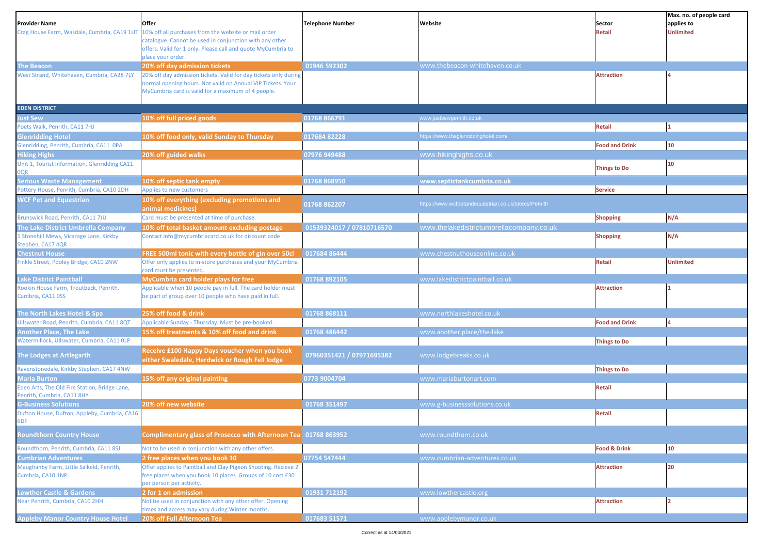|                                                                               |                                                                                                     |                           |                                                      |                         | Max. no. of people card |
|-------------------------------------------------------------------------------|-----------------------------------------------------------------------------------------------------|---------------------------|------------------------------------------------------|-------------------------|-------------------------|
| Provider Name                                                                 | Offer                                                                                               | <b>Telephone Number</b>   | Website                                              | Sector                  | applies to              |
| Crag House Farm, Wasdale, Cumbria, CA19 1UT                                   | 10% off all purchases from the website or mail order                                                |                           |                                                      | <b>Retail</b>           | <b>Unlimited</b>        |
|                                                                               | catalogue. Cannot be used in conjunction with any other                                             |                           |                                                      |                         |                         |
|                                                                               | offers. Valid for 1 only. Please call and quote MyCumbria to<br>place your order.                   |                           |                                                      |                         |                         |
| The Beacon                                                                    | 20% off day admission tickets                                                                       | 01946 592302              | www.thebeacon-whitehaven.co.uk                       |                         |                         |
| West Strand, Whitehaven, Cumbria, CA28 7LY                                    | 20% off day admission tickets. Valid for day tickets only during                                    |                           |                                                      | <b>Attraction</b>       |                         |
|                                                                               | normal opening hours. Not valid on Annual VIP Tickets. Your                                         |                           |                                                      |                         |                         |
|                                                                               | MyCumbria card is valid for a maximum of 4 people.                                                  |                           |                                                      |                         |                         |
|                                                                               |                                                                                                     |                           |                                                      |                         |                         |
| <b>EDEN DISTRICT</b>                                                          |                                                                                                     |                           |                                                      |                         |                         |
| ust Sew                                                                       | 10% off full priced goods                                                                           | 01768 866791              | www.justsewpenrith.co.uk                             |                         |                         |
| Poets Walk, Penrith, CA11 7HJ                                                 |                                                                                                     |                           |                                                      | <b>Retail</b>           |                         |
| <b>Glenridding Hotel</b>                                                      | 10% off food only, valid Sunday to Thursday                                                         | 01768482228               | https://www.theglenriddinghotel.com/                 |                         |                         |
| Glenridding, Penrith, Cumbria, CA11 OPA                                       |                                                                                                     |                           |                                                      | <b>Food and Drink</b>   | 10                      |
| <b>Hiking Highs</b>                                                           | 20% off guided walks                                                                                | 07976 949488              | www.hikinghighs.co.uk                                |                         |                         |
| Unit 1, Tourist Information, Glenridding CA11                                 |                                                                                                     |                           |                                                      | <b>Things to Do</b>     | 10                      |
| <b>JQR</b><br><b>Serious Waste Management</b>                                 |                                                                                                     | 01768 868950              |                                                      |                         |                         |
| Pottery House, Penrith, Cumbria, CA10 2DH                                     | 10% off septic tank empty<br>Applies to new customers                                               |                           | www.septictankcumbria.co.uk                          | <b>Service</b>          |                         |
|                                                                               |                                                                                                     |                           |                                                      |                         |                         |
| <b>WCF Pet and Equestrian</b>                                                 | 10% off everything (excluding promotions and                                                        | 01768 862207              | https://www.wcfpetandequestrian.co.uk/stores/Penrith |                         |                         |
| Brunswick Road, Penrith, CA11 7JU                                             | animal medicines)<br>Card must be presented at time of purchase.                                    |                           |                                                      | <b>Shopping</b>         | N/A                     |
|                                                                               |                                                                                                     | 01539324017 / 07810716570 | www.thelakedistrictumbrellacompany.co.uk             |                         |                         |
| The Lake District Umbrella Company<br>L Stonehill Mews, Vicarage Lane, Kirkby | 10% off total basket amount excluding postage<br>Contact info@mycumbriacard.co.uk for discount code |                           |                                                      |                         | N/A                     |
| Stephen, CA17 4QR                                                             |                                                                                                     |                           |                                                      | <b>Shopping</b>         |                         |
| <b>Chestnut House</b>                                                         | FREE 500ml tonic with every bottle of gin over 50cl                                                 | 017684 86444              | www.chestnuthouseonline.co.uk                        |                         |                         |
| Finkle Street, Pooley Bridge, CA10 2NW                                        | Offer only applies to in-store purchases and your MyCumbria                                         |                           |                                                      | <b>Retail</b>           | <b>Unlimited</b>        |
|                                                                               | card must be presented.                                                                             |                           |                                                      |                         |                         |
| ake District Paintball                                                        | MyCumbria card holder plays for free                                                                | 01768 892105              | www.lakedistrictpaintball.co.uk                      |                         |                         |
| Rookin House Farm, Troutbeck, Penrith,                                        | Applicable when 10 people pay in full. The card holder must                                         |                           |                                                      | <b>Attraction</b>       |                         |
| Cumbria, CA11 0SS                                                             | be part of group over 10 people who have paid in full.                                              |                           |                                                      |                         |                         |
|                                                                               |                                                                                                     |                           |                                                      |                         |                         |
| The North Lakes Hotel & Spa                                                   | 25% off food & drink                                                                                | 01768 868111              | www.northlakeshotel.co.uk                            |                         |                         |
| Ullswater Road, Penrith, Cumbria, CA11 8QT                                    | Applicable Sunday - Thursday. Must be pre-booked.                                                   |                           |                                                      | <b>Food and Drink</b>   |                         |
| <b>Another Place, The Lake</b>                                                | 15% off treatments & 10% off food and drink                                                         | 01768 486442              | www.another.place/the-lake                           |                         |                         |
| Watermillock, Ullswater, Cumbria, CA11 OLP                                    |                                                                                                     |                           |                                                      | <b>Things to Do</b>     |                         |
| The Lodges at Artlegarth                                                      | Receive £100 Happy Days voucher when you book                                                       | 07960351421 / 07971695382 | www.lodgebreaks.co.uk                                |                         |                         |
|                                                                               | either Swaledale, Herdwick or Rough Fell lodge                                                      |                           |                                                      |                         |                         |
| Ravenstonedale, Kirkby Stephen, CA17 4NW                                      |                                                                                                     |                           |                                                      | <b>Things to Do</b>     |                         |
| Maria Burton                                                                  | 15% off any original painting                                                                       | 0773 9004704              | www.mariaburtonart.com                               |                         |                         |
| Eden Arts, The Old Fire Station, Bridge Lane,                                 |                                                                                                     |                           |                                                      | <b>Retail</b>           |                         |
| Penrith, Cumbria, CA11 8HY<br><b>G-Business Solutions</b>                     | 20% off new website                                                                                 | 01768 351497              | www.g-businesssolutions.co.uk                        |                         |                         |
| Dufton House, Dufton, Appleby, Cumbria, CA16                                  |                                                                                                     |                           |                                                      | <b>Retail</b>           |                         |
| 6DF                                                                           |                                                                                                     |                           |                                                      |                         |                         |
|                                                                               |                                                                                                     |                           |                                                      |                         |                         |
| <b>Coundthorn Country House</b>                                               | Complimentary glass of Prosecco with Afternoon Tea 01768 863952                                     |                           | www.roundthorn.co.uk                                 |                         |                         |
| Roundthorn, Penrith, Cumbria, CA11 8SJ                                        | Not to be used in conjunction with any other offers.                                                |                           |                                                      | <b>Food &amp; Drink</b> | 10                      |
| <b>Cumbrian Adventures</b>                                                    | 2 free places when you book 10                                                                      | 07754 547444              | www.cumbrian-adventures.co.uk                        |                         |                         |
| Maughanby Farm, Little Salkeld, Penrith,                                      | Offer applies to Paintball and Clay Pigeon Shooting. Recieve 2                                      |                           |                                                      | <b>Attraction</b>       | 20                      |
| Cumbria, CA10 1NP                                                             | free places when you book 10 places. Groups of 10 cost £30                                          |                           |                                                      |                         |                         |
|                                                                               | per person per activity.                                                                            |                           |                                                      |                         |                         |
| <b>Lowther Castle &amp; Gardens</b>                                           | 2 for 1 on admission                                                                                | 01931 712192              | www.lowthercastle.org                                |                         |                         |
| Near Penrith, Cumbria, CA10 2HH                                               | Not be used in conjunction with any other offer. Opening                                            |                           |                                                      | <b>Attraction</b>       |                         |
|                                                                               | times and access may vary during Winter months.                                                     |                           |                                                      |                         |                         |
| <b>Appleby Manor Country House Hotel</b>                                      | 20% off Full Afternoon Tea                                                                          | 017683 51571              | www.applebymanor.co.uk                               |                         |                         |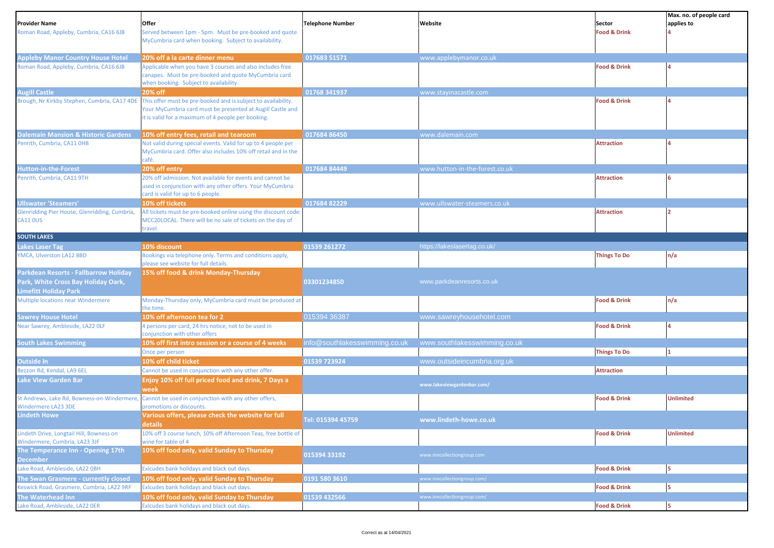|                                                |                                                                              |                               |                                |                         | Max. no. of people card |
|------------------------------------------------|------------------------------------------------------------------------------|-------------------------------|--------------------------------|-------------------------|-------------------------|
| <b>Provider Name</b>                           | Offer                                                                        | <b>Telephone Number</b>       | Website                        | Sector                  | applies to              |
| Roman Road, Appleby, Cumbria, CA16 6JB         | Served between 1pm - 5pm. Must be pre-booked and quote                       |                               |                                | <b>Food &amp; Drink</b> |                         |
|                                                | MyCumbria card when booking. Subject to availability.                        |                               |                                |                         |                         |
| <b>Appleby Manor Country House Hotel</b>       | 20% off a la carte dinner menu                                               | 017683 51571                  | www.applebymanor.co.uk         |                         |                         |
| Roman Road, Appleby, Cumbria, CA16 6JB         | Applicable when you have 3 courses and also includes free                    |                               |                                | <b>Food &amp; Drink</b> |                         |
|                                                | canapes. Must be pre-booked and quote MyCumbria card                         |                               |                                |                         |                         |
|                                                | when booking. Subject to availability.                                       |                               |                                |                         |                         |
| <b>Augill Castle</b>                           | 20% off                                                                      | 01768 341937                  | www.stayinacastle.com          |                         |                         |
| Brough, Nr Kirkby Stephen, Cumbria, CA17 4DE   | This offer must be pre-booked and is subject to availability.                |                               |                                | <b>Food &amp; Drink</b> |                         |
|                                                | Your MyCumbria card must be presented at Augill Castle and                   |                               |                                |                         |                         |
|                                                | it is valid for a maximum of 4 people per booking.                           |                               |                                |                         |                         |
|                                                |                                                                              |                               |                                |                         |                         |
| <b>Dalemain Mansion &amp; Historic Gardens</b> | 10% off entry fees, retail and tearoom                                       | 017684 86450                  | www.dalemain.com               |                         |                         |
| Penrith, Cumbria, CA11 OHB                     | Not valid during special events. Valid for up to 4 people per                |                               |                                | <b>Attraction</b>       |                         |
|                                                | MyCumbria card. Offer also includes 10% off retail and in the                |                               |                                |                         |                         |
|                                                | café.                                                                        |                               |                                |                         |                         |
| <b>Hutton-in-the-Forest</b>                    | 20% off entry                                                                | 017684 84449                  | www.hutton-in-the-forest.co.uk |                         |                         |
| Penrith, Cumbria, CA11 9TH                     | 20% off admission. Not available for events and cannot be                    |                               |                                | <b>Attraction</b>       |                         |
|                                                | used in conjunction with any other offers. Your MyCumbria                    |                               |                                |                         |                         |
|                                                | card is valid for up to 6 people.                                            |                               |                                |                         |                         |
| <b>Ullswater 'Steamers'</b>                    | 10% off tickets                                                              | 01768482229                   | www.ullswater-steamers.co.uk   |                         |                         |
| Glenridding Pier House, Glenridding, Cumbria,  | All tickets must be pre-booked online using the discount code:               |                               |                                | <b>Attraction</b>       |                         |
| <b>CA11 OUS</b>                                | MCC20LOCAL. There will be no sale of tickets on the day of                   |                               |                                |                         |                         |
|                                                | travel.                                                                      |                               |                                |                         |                         |
| <b>SOUTH LAKES</b>                             |                                                                              |                               |                                |                         |                         |
| <b>Lakes Laser Tag</b>                         | 10% discount                                                                 | 01539 261272                  | https://lakeslasertag.co.uk/   |                         |                         |
| YMCA, Ulverston LA12 8BD                       | Bookings via telephone only. Terms and conditions apply,                     |                               |                                | <b>Things To Do</b>     | n/a                     |
|                                                | please see website for full details.<br>15% off food & drink Monday-Thursday |                               |                                |                         |                         |
| Parkdean Resorts - Fallbarrow Holiday          |                                                                              |                               |                                |                         |                         |
| Park, White Cross Bay Holiday Oark,            |                                                                              | 03301234850                   | www.parkdeanresorts.co.uk      |                         |                         |
| <b>Limefitt Holiday Park</b>                   |                                                                              |                               |                                |                         |                         |
| Multiple locations near Windermere             | Monday-Thursday only, MyCumbria card must be produced at<br>the time.        |                               |                                | <b>Food &amp; Drink</b> | n/a                     |
| <b>Sawrey House Hotel</b>                      | 10% off afternoon tea for 2                                                  | 015394 36387                  | www.sawreyhousehotel.com       |                         |                         |
| Near Sawrey, Ambleside, LA22 OLF               | 4 persons per card, 24 hrs notice, not to be used in                         |                               |                                | <b>Food &amp; Drink</b> |                         |
|                                                | conjunction with other offers                                                |                               |                                |                         |                         |
| <b>South Lakes Swimming</b>                    | 10% off first intro session or a course of 4 weeks                           | info@southlakesswimming.co.uk | www.southlakesswimming.co.uk   |                         |                         |
|                                                | Once per person                                                              |                               |                                | <b>Things To Do</b>     |                         |
| Outside In                                     | 10% off child ticket                                                         | 01539 723924                  | www.outsideincumbria.org.uk    |                         |                         |
| Bezzon Rd, Kendal, LA9 6EL                     | Cannot be used in conjunction with any other offer.                          |                               |                                | <b>Attraction</b>       |                         |
| <b>Lake View Garden Bar</b>                    | Enjoy 10% off full priced food and drink, 7 Days a                           |                               |                                |                         |                         |
|                                                | week                                                                         |                               | www.lakeviewgardenbar.com/     |                         |                         |
| St Andrews, Lake Rd, Bowness-on-Windermere,    | Cannot be used in conjunction with any other offers,                         |                               |                                | <b>Food &amp; Drink</b> | <b>Unlimited</b>        |
| Windermere LA23 3DE                            | promotions or discounts.                                                     |                               |                                |                         |                         |
| <b>Lindeth Howe</b>                            | Various offers, please check the website for full                            |                               |                                |                         |                         |
|                                                | details                                                                      | Tel: 015394 45759             | www.lindeth-howe.co.uk         |                         |                         |
| Lindeth Drive, Longtail Hill, Bowness on       | 10% off 3 course lunch, 10% off Afternoon Teas, free bottle of               |                               |                                | <b>Food &amp; Drink</b> | <b>Unlimited</b>        |
| Windermere, Cumbria, LA23 3JF                  | wine for table of 4                                                          |                               |                                |                         |                         |
| The Temperance Inn - Opening 17th              | 10% off food only, valid Sunday to Thursday                                  |                               |                                |                         |                         |
| <b>December</b>                                |                                                                              | 015394 33192                  | www.inncollectiongroup.com     |                         |                         |
| Lake Road, Ambleside, LA22 OBH                 | Exicudes bank holidays and black out days.                                   |                               |                                | <b>Food &amp; Drink</b> | 5                       |
| The Swan Grasmere - currently closed           | 10% off food only, valid Sunday to Thursday                                  | 0191 580 3610                 | www.inncollectiongroup.com/    |                         |                         |
| Keswick Road, Grasmere, Cumbria, LA22 9RF      | Exicudes bank holidays and black out days.                                   |                               |                                | <b>Food &amp; Drink</b> | 5                       |
| The Waterhead Inn                              | 10% off food only, valid Sunday to Thursday                                  | 01539 432566                  | www.inncollectiongroup.com/    |                         |                         |
| Lake Road, Ambleside, LA22 OER                 | Exicudes bank holidays and black out days.                                   |                               |                                | <b>Food &amp; Drink</b> | 5                       |
|                                                |                                                                              |                               |                                |                         |                         |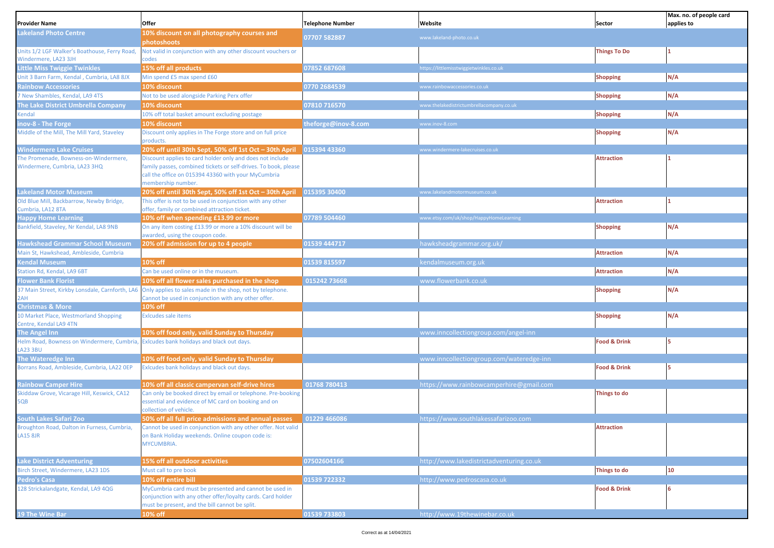| Provider Name                                                          | Offer                                                                                                                                                                                                     | <b>Telephone Number</b> | Website                                  | Sector                  | Max. no. of people card<br>applies to |
|------------------------------------------------------------------------|-----------------------------------------------------------------------------------------------------------------------------------------------------------------------------------------------------------|-------------------------|------------------------------------------|-------------------------|---------------------------------------|
| <b>akeland Photo Centre</b>                                            | 10% discount on all photography courses and<br>photoshoots                                                                                                                                                | 07707 582887            | www.lakeland-photo.co.uk                 |                         |                                       |
| Units 1/2 LGF Walker's Boathouse, Ferry Road,<br>Windermere, LA23 3JH  | Not valid in conjunction with any other discount vouchers or<br>codes                                                                                                                                     |                         |                                          | <b>Things To Do</b>     |                                       |
| Little Miss Twiggie Twinkles                                           | 15% off all products                                                                                                                                                                                      | 07852 687608            | https://littlemisstwiggietwinkles.co.uk  |                         |                                       |
| Unit 3 Barn Farm, Kendal, Cumbria, LA8 8JX                             | Min spend £5 max spend £60                                                                                                                                                                                |                         |                                          | <b>Shopping</b>         | N/A                                   |
| <b>Rainbow Accessories</b>                                             | 10% discount                                                                                                                                                                                              | 0770 2684539            | www.rainbowaccessories.co.uk             |                         |                                       |
| 7 New Shambles, Kendal, LA9 4TS                                        | Not to be used alongside Parking Perx offer                                                                                                                                                               |                         |                                          | <b>Shopping</b>         | N/A                                   |
| <b>The Lake District Umbrella Company</b>                              | 10% discount                                                                                                                                                                                              | 07810 716570            | www.thelakedistrictumbrellacompany.co.uk |                         |                                       |
| Kendal                                                                 | 10% off total basket amount excluding postage                                                                                                                                                             |                         |                                          | <b>Shopping</b>         | N/A                                   |
|                                                                        | 10% discount                                                                                                                                                                                              | theforge@inov-8.com     | www.inov-8.com                           |                         |                                       |
| nov-8 - The Forge<br>Middle of the Mill, The Mill Yard, Staveley       | Discount only applies in The Forge store and on full price<br>products.                                                                                                                                   |                         |                                          | <b>Shopping</b>         | N/A                                   |
| <b>Windermere Lake Cruises</b>                                         | 20% off until 30th Sept, 50% off 1st Oct - 30th April                                                                                                                                                     | 015394 43360            | www.windermere-lakecruises.co.uk         |                         |                                       |
| The Promenade, Bowness-on-Windermere,<br>Windermere, Cumbria, LA23 3HQ | Discount applies to card holder only and does not include<br>family passes, combined tickets or self-drives. To book, please<br>call the office on 015394 43360 with your MyCumbria<br>membership number. |                         |                                          | <b>Attraction</b>       |                                       |
| akeland Motor Museum                                                   | 20% off until 30th Sept, 50% off 1st Oct - 30th April                                                                                                                                                     | 015395 30400            | www.lakelandmotormuseum.co.uk            |                         |                                       |
| Old Blue Mill, Backbarrow, Newby Bridge,                               | This offer is not to be used in conjunction with any other                                                                                                                                                |                         |                                          | <b>Attraction</b>       |                                       |
| Cumbria, LA12 8TA                                                      | offer, family or combined attraction ticket.                                                                                                                                                              |                         |                                          |                         |                                       |
| <b>Happy Home Learning</b>                                             | 10% off when spending £13.99 or more                                                                                                                                                                      | 07789 504460            | www.etsy.com/uk/shop/HappyHomeLearning   |                         |                                       |
| Bankfield, Staveley, Nr Kendal, LA8 9NB                                | On any item costing £13.99 or more a 10% discount will be<br>awarded, using the coupon code.                                                                                                              |                         |                                          | <b>Shopping</b>         | N/A                                   |
| <b>Hawkshead Grammar School Museum</b>                                 | 20% off admission for up to 4 people                                                                                                                                                                      | 01539 444717            | hawksheadgrammar.org.uk/                 |                         |                                       |
| Main St, Hawkshead, Ambleside, Cumbria                                 |                                                                                                                                                                                                           |                         |                                          | <b>Attraction</b>       | N/A                                   |
| <b>Cendal Museum</b>                                                   | 10% off                                                                                                                                                                                                   | 01539 815597            | kendalmuseum.org.uk                      |                         |                                       |
| Station Rd, Kendal, LA9 6BT                                            | Can be used online or in the museum.                                                                                                                                                                      |                         |                                          | <b>Attraction</b>       | N/A                                   |
| <b>Flower Bank Florist</b>                                             | 10% off all flower sales purchased in the shop                                                                                                                                                            | 015242 73668            | www.flowerbank.co.uk                     |                         |                                       |
| 37 Main Street, Kirkby Lonsdale, Carnforth, LA6<br>2AH                 | Only applies to sales made in the shop, not by telephone.<br>Cannot be used in conjunction with any other offer.                                                                                          |                         |                                          | <b>Shopping</b>         | N/A                                   |
| <b>Christmas &amp; More</b>                                            | 10% off                                                                                                                                                                                                   |                         |                                          |                         |                                       |
| 10 Market Place, Westmorland Shopping<br>Centre, Kendal LA9 4TN        | <b>Exlcudes sale items</b>                                                                                                                                                                                |                         |                                          | <b>Shopping</b>         | N/A                                   |
| The Angel Inn                                                          | 10% off food only, valid Sunday to Thursday                                                                                                                                                               |                         | www.inncollectiongroup.com/angel-inn     |                         |                                       |
| Helm Road, Bowness on Windermere, Cumbria<br>LA23 3BU                  | Exicudes bank holidays and black out days.                                                                                                                                                                |                         |                                          | <b>Food &amp; Drink</b> |                                       |
| The Wateredge Inn                                                      | 10% off food only, valid Sunday to Thursday                                                                                                                                                               |                         | www.inncollectiongroup.com/wateredge-inn |                         |                                       |
| Borrans Road, Ambleside, Cumbria, LA22 OEP                             | Exicudes bank holidays and black out days.                                                                                                                                                                |                         |                                          | <b>Food &amp; Drink</b> |                                       |
| <b>Rainbow Camper Hire</b>                                             | 10% off all classic campervan self-drive hires                                                                                                                                                            | 01768 780413            | https://www.rainbowcamperhire@gmail.com  |                         |                                       |
| Skiddaw Grove, Vicarage Hill, Keswick, CA12<br>5QB                     | Can only be booked direct by email or telephone. Pre-booking<br>essential and evidence of MC card on booking and on<br>collection of vehicle.                                                             |                         |                                          | Things to do            |                                       |
| South Lakes Safari Zoo                                                 | 50% off all full price admissions and annual passes                                                                                                                                                       | 01229 466086            | https://www.southlakessafarizoo.com      |                         |                                       |
| Broughton Road, Dalton in Furness, Cumbria,                            | Cannot be used in conjunction with any other offer. Not valid                                                                                                                                             |                         |                                          | <b>Attraction</b>       |                                       |
| <b>LA15 8JR</b>                                                        | on Bank Holiday weekends. Online coupon code is:<br>MYCUMBRIA.                                                                                                                                            |                         |                                          |                         |                                       |
| <b>Lake District Adventuring</b>                                       | 15% off all outdoor activities                                                                                                                                                                            | 07502604166             | http://www.lakedistrictadventuring.co.uk |                         |                                       |
| Birch Street, Windermere, LA23 1DS                                     | Must call to pre book                                                                                                                                                                                     |                         |                                          | Things to do            | 10                                    |
| Pedro's Casa                                                           | 10% off entire bill                                                                                                                                                                                       | 01539 722332            | http://www.pedroscasa.co.uk              |                         |                                       |
| 128 Strickalandgate, Kendal, LA9 4QG                                   | MyCumbria card must be presented and cannot be used in<br>conjunction with any other offer/loyalty cards. Card holder<br>must be present, and the bill cannot be split.                                   |                         |                                          | <b>Food &amp; Drink</b> |                                       |
| 19 The Wine Bar                                                        | 10% off                                                                                                                                                                                                   | 01539 733803            | http://www.19thewinebar.co.uk            |                         |                                       |
|                                                                        |                                                                                                                                                                                                           |                         |                                          |                         |                                       |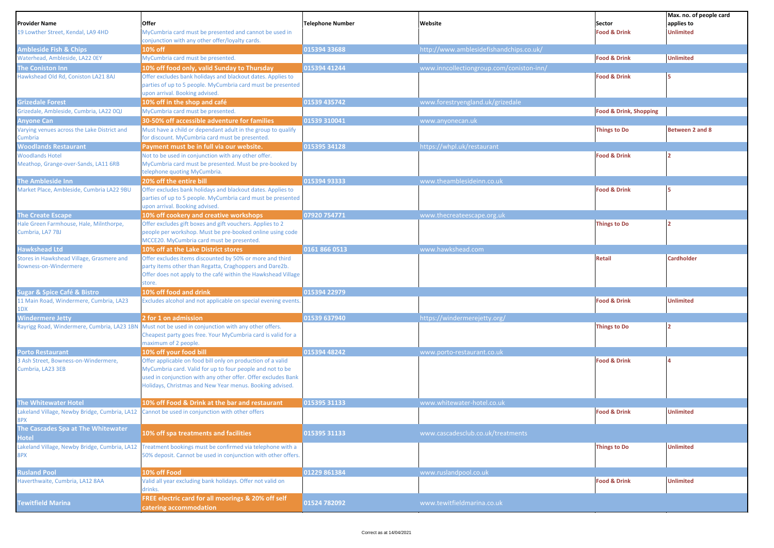| <b>Provider Name</b>                                               | Offer                                                                                                                    | <b>Telephone Number</b> | Website                                  | Sector                            | Max. no. of people card<br>applies to |
|--------------------------------------------------------------------|--------------------------------------------------------------------------------------------------------------------------|-------------------------|------------------------------------------|-----------------------------------|---------------------------------------|
| 19 Lowther Street, Kendal, LA9 4HD                                 | MyCumbria card must be presented and cannot be used in                                                                   |                         |                                          | <b>Food &amp; Drink</b>           | <b>Unlimited</b>                      |
|                                                                    | conjunction with any other offer/loyalty cards.                                                                          |                         |                                          |                                   |                                       |
| <b>Ambleside Fish &amp; Chips</b>                                  | 10% off                                                                                                                  | 015394 33688            | http://www.amblesidefishandchips.co.uk/  |                                   |                                       |
| Waterhead, Ambleside, LA22 OEY                                     | MyCumbria card must be presented.                                                                                        |                         |                                          | <b>Food &amp; Drink</b>           | <b>Unlimited</b>                      |
| The Coniston Inn                                                   | 10% off food only, valid Sunday to Thursday                                                                              | 015394 41244            | www.inncollectiongroup.com/coniston-inn/ |                                   |                                       |
| Hawkshead Old Rd, Coniston LA21 8AJ                                | Offer excludes bank holidays and blackout dates. Applies to                                                              |                         |                                          | <b>Food &amp; Drink</b>           |                                       |
|                                                                    | parties of up to 5 people. MyCumbria card must be presented<br>upon arrival. Booking advised.                            |                         |                                          |                                   |                                       |
| <b>Grizedale Forest</b>                                            | 10% off in the shop and café                                                                                             | 01539 435742            | www.forestryengland.uk/grizedale         |                                   |                                       |
| Grizedale, Ambleside, Cumbria, LA22 0QJ                            | MyCumbria card must be presented.                                                                                        |                         |                                          | <b>Food &amp; Drink, Shopping</b> |                                       |
| Anyone Can                                                         | 30-50% off accessible adventure for families                                                                             | 01539 310041            | www.anyonecan.uk                         |                                   |                                       |
| Varying venues across the Lake District and                        | Must have a child or dependant adult in the group to qualify                                                             |                         |                                          | <b>Things to Do</b>               | Between 2 and 8                       |
| Cumbria                                                            | for discount. MyCumbria card must be presented.                                                                          |                         |                                          |                                   |                                       |
| <b>Woodlands Restaurant</b>                                        | Payment must be in full via our website.                                                                                 | 015395 34128            | https://whpl.uk/restaurant               |                                   |                                       |
| <b>Woodlands Hotel</b>                                             | Not to be used in conjunction with any other offer.                                                                      |                         |                                          | <b>Food &amp; Drink</b>           |                                       |
| Meathop, Grange-over-Sands, LA11 6RB                               | MyCumbria card must be presented. Must be pre-booked by<br>telephone quoting MyCumbria.                                  |                         |                                          |                                   |                                       |
| The Ambleside Inn                                                  | 20% off the entire bill                                                                                                  | 015394 93333            | www.theamblesideinn.co.uk                |                                   |                                       |
| Market Place, Ambleside, Cumbria LA22 9BU                          | Offer excludes bank holidays and blackout dates. Applies to                                                              |                         |                                          | <b>Food &amp; Drink</b>           |                                       |
|                                                                    | parties of up to 5 people. MyCumbria card must be presented                                                              |                         |                                          |                                   |                                       |
|                                                                    | upon arrival. Booking advised.                                                                                           |                         |                                          |                                   |                                       |
| <b>The Create Escape</b>                                           | 10% off cookery and creative workshops                                                                                   | 07920 754771            | www.thecreateescape.org.uk               |                                   |                                       |
| Hale Green Farmhouse, Hale, Milnthorpe,                            | Offer excludes gift boxes and gift vouchers. Applies to 2                                                                |                         |                                          | <b>Things to Do</b>               |                                       |
| Cumbria, LA7 7BJ                                                   | people per workshop. Must be pre-booked online using code                                                                |                         |                                          |                                   |                                       |
|                                                                    | MCCE20. MyCumbria card must be presented.                                                                                |                         |                                          |                                   |                                       |
| <b>Hawkshead Ltd</b>                                               | 10% off at the Lake District stores                                                                                      | 0161 866 0513           | www.hawkshead.com                        |                                   |                                       |
| Stores in Hawkshead Village, Grasmere and<br>Bowness-on-Windermere | Offer excludes items discounted by 50% or more and third                                                                 |                         |                                          | <b>Retail</b>                     | <b>Cardholder</b>                     |
|                                                                    | party items other than Regatta, Craghoppers and Dare2b.<br>Offer does not apply to the café within the Hawkshead Village |                         |                                          |                                   |                                       |
|                                                                    | store.                                                                                                                   |                         |                                          |                                   |                                       |
| <b>Sugar &amp; Spice Café &amp; Bistro</b>                         | 10% off food and drink                                                                                                   | 015394 22979            |                                          |                                   |                                       |
| 11 Main Road, Windermere, Cumbria, LA23                            | Excludes alcohol and not applicable on special evening events                                                            |                         |                                          | <b>Food &amp; Drink</b>           | <b>Unlimited</b>                      |
| 1DX                                                                |                                                                                                                          |                         |                                          |                                   |                                       |
| <b>Windermere Jetty</b>                                            | 2 for 1 on admission                                                                                                     | 01539 637940            | https://windermerejetty.org/             |                                   |                                       |
| Rayrigg Road, Windermere, Cumbria, LA23 1BN                        | Must not be used in conjunction with any other offers.                                                                   |                         |                                          | <b>Things to Do</b>               |                                       |
|                                                                    | Cheapest party goes free. Your MyCumbria card is valid for a                                                             |                         |                                          |                                   |                                       |
|                                                                    | maximum of 2 people.                                                                                                     | 015394 48242            |                                          |                                   |                                       |
| <b>Porto Restaurant</b><br>3 Ash Street, Bowness-on-Windermere,    | 10% off your food bill<br>Offer applicable on food bill only on production of a valid                                    |                         | www.porto-restaurant.co.uk               | <b>Food &amp; Drink</b>           |                                       |
| Cumbria, LA23 3EB                                                  | MyCumbria card. Valid for up to four people and not to be                                                                |                         |                                          |                                   |                                       |
|                                                                    | used in conjunction with any other offer. Offer excludes Bank                                                            |                         |                                          |                                   |                                       |
|                                                                    | Holidays, Christmas and New Year menus. Booking advised.                                                                 |                         |                                          |                                   |                                       |
|                                                                    |                                                                                                                          |                         |                                          |                                   |                                       |
| <b>The Whitewater Hotel</b>                                        | 10% off Food & Drink at the bar and restaurant                                                                           | 015395 31133            | www.whitewater-hotel.co.uk               |                                   |                                       |
| Lakeland Village, Newby Bridge, Cumbria, LA12                      | Cannot be used in conjunction with other offers                                                                          |                         |                                          | <b>Food &amp; Drink</b>           | <b>Unlimited</b>                      |
| 8PX                                                                |                                                                                                                          |                         |                                          |                                   |                                       |
| The Cascades Spa at The Whitewater<br>Hotel                        | 10% off spa treatments and facilities                                                                                    | 015395 31133            | www.cascadesclub.co.uk/treatments        |                                   |                                       |
| Lakeland Village, Newby Bridge, Cumbria, LA12                      | Treatment bookings must be confirmed via telephone with a                                                                |                         |                                          | <b>Things to Do</b>               | <b>Unlimited</b>                      |
| 8PX                                                                | 50% deposit. Cannot be used in conjunction with other offers.                                                            |                         |                                          |                                   |                                       |
|                                                                    |                                                                                                                          |                         |                                          |                                   |                                       |
| <b>Rusland Pool</b>                                                | 10% off Food                                                                                                             | 01229 861384            | www.ruslandpool.co.uk                    |                                   |                                       |
| Haverthwaite, Cumbria, LA12 8AA                                    | Valid all year excluding bank holidays. Offer not valid on<br>drinks.                                                    |                         |                                          | <b>Food &amp; Drink</b>           | <b>Unlimited</b>                      |
| <b>Tewitfield Marina</b>                                           | FREE electric card for all moorings & 20% off self<br>catering accommodation                                             | 01524 782092            | www.tewitfieldmarina.co.uk               |                                   |                                       |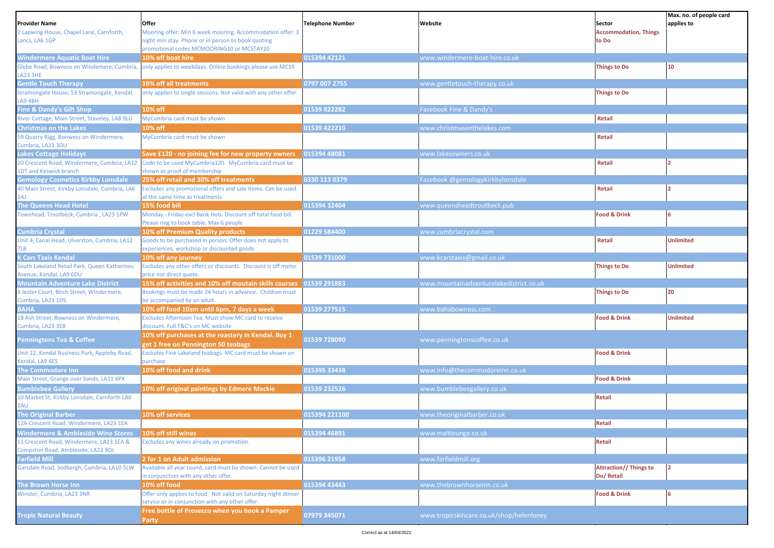| <b>Provider Name</b>                                                           | Offer                                                                                                             | <b>Telephone Number</b> | Website                                  | Sector                                      | Max. no. of people card<br>applies to |
|--------------------------------------------------------------------------------|-------------------------------------------------------------------------------------------------------------------|-------------------------|------------------------------------------|---------------------------------------------|---------------------------------------|
| 2 Lapwing House, Chapel Lane, Carnforth,                                       | Mooring offer: Min 6 week mooring. Accommodation offer: 3                                                         |                         |                                          | <b>Accommodation, Things</b>                |                                       |
| Lancs, LA6 1GP                                                                 | night min stay. Phone or in person to book quoting                                                                |                         |                                          | to Do                                       |                                       |
|                                                                                | promotional codes MCMOORING10 or MCSTAY20                                                                         |                         |                                          |                                             |                                       |
| <b>Windermere Aquatic Boat Hire</b>                                            | 10% off boat hire                                                                                                 | 015394 42121            | www.windermere-boat-hire.co.uk           |                                             |                                       |
| Glebe Road, Bowness on Windemere, Cumbria,<br>LA23 3HE                         | only applies to weekdays. Online bookings please use MC19                                                         |                         |                                          | <b>Things to Do</b>                         | 10                                    |
| <b>Gentle Touch Therapy</b>                                                    | 10% off all treatments                                                                                            | 0797 007 2755           | www.gentletouch-therapy.co.uk            |                                             |                                       |
| Stramongate House, 53 Stramongate, Kendal,<br>LA9 4BH                          | only applies to single sessions. Not valid with any other offer                                                   |                         |                                          | <b>Things to Do</b>                         |                                       |
| <b>Fine &amp; Dandy's Gift Shop</b>                                            | 10% off                                                                                                           | 01539 822282            | Facebook Fine & Dandy's                  |                                             |                                       |
| River Cottage, Main Street, Staveley, LA8 9LU                                  | MyCumbria card must be shown                                                                                      |                         |                                          | Retail                                      |                                       |
| <b>Christmas on the Lakes</b>                                                  | 10% off                                                                                                           | 01539 422210            | www.christmasonthelakes.com              |                                             |                                       |
| 59 Quarry Rigg, Bonwess on Windermere,<br>Cumbria, LA23 3DU                    | MyCumbria card must be shown                                                                                      |                         |                                          | Retail                                      |                                       |
| <b>Lakes Cottage Holidays</b>                                                  | Save £120 - no joining fee for new property owners                                                                | 015394 48081            | www.lakesowners.co.uk                    |                                             |                                       |
| 20 Crescent Road, Windermere, Cumbria, LA12                                    | Code to be used MyCumbria120. MyCumbria card must be                                                              |                         |                                          | Retail                                      |                                       |
| <b>1DT and Keswick branch</b>                                                  | shown as proof of membership                                                                                      |                         |                                          |                                             |                                       |
| <b>Gemology Cosmetics Kirkby Lonsdale</b>                                      | 25% off retail and 30% off treatments                                                                             | 0330 113 0379           | Facebook @gemologykirkbylonsdale         |                                             |                                       |
| 40 Main Street, Kirkby Lonsdale, Cumbria, LA6<br>2AJ                           | Excludes any promotional offers and sale items. Can be used<br>at the same time as treatments                     |                         |                                          | Retail                                      |                                       |
| The Queens Head Hotel                                                          | 15% food bill                                                                                                     | 015394 32404            | www.queensheadtroutbeck.pub              |                                             |                                       |
| Townhead, Troutbeck, Cumbria, LA23 1PW                                         | Monday - Friday excl Bank Hols. Discount off total food bill.<br>Please ring to book table. Max 6 people          |                         |                                          | <b>Food &amp; Drink</b>                     |                                       |
| <b>Cumbria Crystal</b>                                                         | 10% off Premium Quality products                                                                                  | 01229 584400            | www.cumbriacrystal.com                   |                                             |                                       |
| Unit 4, Canal Head, Ulverston, Cumbria, LA12<br>7LB                            | Goods to be purchased in person. Offer does not apply to<br>experiences, workshop or discounted goods             |                         |                                          | Retail                                      | <b>Unlimited</b>                      |
| <b>K Cars Taxis Kendal</b>                                                     | 10% off any journey                                                                                               | 01539 731000            | www.kcarstaxis@gmail.co.uk               |                                             |                                       |
| South Lakeland Retail Park, Queen Katherines<br>Avenue, Kendal, LA9 6DU        | Excludes any other offers or discounts. Discount is off meter<br>price not direct quote.                          |                         |                                          | <b>Things to Do</b>                         | <b>Unlimited</b>                      |
| <b>Mountain Adventure Lake District</b>                                        | 15% off activities and 10% off moutain skills courses                                                             | 01539 291883            | www.mountainadventurelakedistrict.co.uk  |                                             |                                       |
| 3 Jester Court, Birch Street, Windermere,<br>Cumbria, LA23 1DS                 | Bookings must be made 24 hours in advance. Children must<br>be accompanied by an adult.                           |                         |                                          | <b>Things to Do</b>                         | 20                                    |
| <b>BAHA</b>                                                                    | 10% off food 10am until 6pm, 7 days a week                                                                        | 01539 277515            | www.bahabowness.com                      |                                             |                                       |
| 18 Ash Street, Bowness on Windermere,<br>Cumbria, LA23 3EB                     | Excludes Afternoon Tea. Must show MC card to receive<br>discount. Full T&C's on MC website                        |                         |                                          | <b>Food &amp; Drink</b>                     | <b>Unlimited</b>                      |
| <b>Penningtons Tea &amp; Coffee</b>                                            | 10% off purchases at the roastery in Kendal. Buy 1<br>get 1 free on Pennington 50 teabags                         | 01539 728090            | www.penningtonscoffee.co.uk              |                                             |                                       |
| Unit 12, Kendal Business Park, Appleby Road,<br>Kendal, LA9 6ES                | Excludes Fine Lakeland teabags. MC card must be shown on<br>purchase                                              |                         |                                          | <b>Food &amp; Drink</b>                     |                                       |
| <b>The Commodore Inn</b>                                                       | 10% off food and drink                                                                                            | 015395 33438            | www.info@thecommodoreinn.co.uk           |                                             |                                       |
| Main Street, Grange over Sands, LA11 6PX                                       |                                                                                                                   |                         |                                          | <b>Food &amp; Drink</b>                     |                                       |
| <b>Bumblebee Gallery</b>                                                       | 10% off original paintings by Edmere Mackie                                                                       | 01539 232526            | www.bumblebeegallery.co.uk               |                                             |                                       |
| 10 Market St, Kirkby Lonsdale, Carnforth LA6<br>2AU                            |                                                                                                                   |                         |                                          | <b>Retail</b>                               |                                       |
| <b>The Original Barber</b>                                                     | 10% off services                                                                                                  | 015394 221100           | www.theoriginalbarber.co.uk              |                                             |                                       |
| 12A Crescent Road, Windermere, LA23 1EA                                        |                                                                                                                   |                         |                                          | <b>Retail</b>                               |                                       |
| <b>Windermere &amp; Ambleside Wine Stores</b>                                  | 10% off still wines                                                                                               | 015394 46891            | www.maltlounge.co.uk                     |                                             |                                       |
| 11 Crescent Road, Windermere, LA23 1EA &<br>Compston Road, Ambleside, LA22 9DJ | Excludes any wines already on promotion.                                                                          |                         |                                          | <b>Retail</b>                               |                                       |
| <b>Farfield Mill</b>                                                           | 2 for 1 on Adult admission                                                                                        | 015396 21958            | www.farfieldmill.org                     |                                             |                                       |
| Garsdale Road, Sedbergh, Cumbria, LA10 5LW                                     | Available all year round, card must be shown. Cannot be used<br>in conjunction with any other offer.              |                         |                                          | <b>Attraction// Things to</b><br>Do/ Retail | 2                                     |
| The Brown Horse Inn                                                            | 10% off food                                                                                                      | 015394 43443            | www.thebrownhorseinn.co.uk               |                                             |                                       |
| Winster, Cumbria, LA23 3NR                                                     | Offer only applies to food. Not valid on Saturday night dinner<br>service or in conjunction with any other offer. |                         |                                          | Food & Drink                                | 16                                    |
| <b>Tropic Natural Beauty</b>                                                   | Free bottle of Prosecco when you book a Pamper<br>Party                                                           | 07979 345071            | www.tropicskincare.co.uk/shop/helenloney |                                             |                                       |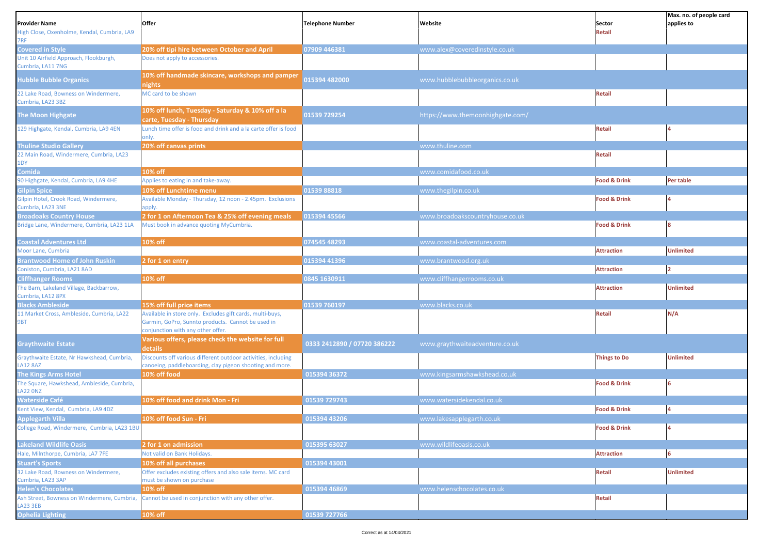| <b>Provider Name</b><br>High Close, Oxenholme, Kendal, Cumbria, LA9<br>7RF | Offer                                                                                                                                               | <b>Telephone Number</b>     | Website                          | Sector<br>Retail        | Max. no. of people card<br>applies to |
|----------------------------------------------------------------------------|-----------------------------------------------------------------------------------------------------------------------------------------------------|-----------------------------|----------------------------------|-------------------------|---------------------------------------|
| <b>Covered in Style</b>                                                    | 20% off tipi hire between October and April                                                                                                         | 07909 446381                | www.alex@coveredinstyle.co.uk    |                         |                                       |
| Unit 10 Airfield Approach, Flookburgh,<br>Cumbria, LA11 7NG                | Does not apply to accessories.                                                                                                                      |                             |                                  |                         |                                       |
| <b>Hubble Bubble Organics</b>                                              | 10% off handmade skincare, workshops and pamper<br>nights                                                                                           | 015394 482000               | www.hubblebubbleorganics.co.uk   |                         |                                       |
| 22 Lake Road, Bowness on Windermere,<br>Cumbria, LA23 3BZ                  | MC card to be shown                                                                                                                                 |                             |                                  | <b>Retail</b>           |                                       |
| <b>The Moon Highgate</b>                                                   | 10% off lunch, Tuesday - Saturday & 10% off a la<br>carte, Tuesday - Thursday                                                                       | 01539 729254                | https://www.themoonhighgate.com/ |                         |                                       |
| 129 Highgate, Kendal, Cumbria, LA9 4EN                                     | Lunch time offer is food and drink and a la carte offer is food<br>only.                                                                            |                             |                                  | Retail                  |                                       |
| <b>Thuline Studio Gallery</b>                                              | 20% off canvas prints                                                                                                                               |                             | www.thuline.com                  |                         |                                       |
| 22 Main Road, Windermere, Cumbria, LA23<br>1DY                             |                                                                                                                                                     |                             |                                  | Retail                  |                                       |
| Comida                                                                     | 10% off                                                                                                                                             |                             | www.comidafood.co.uk             |                         |                                       |
| 90 Highgate, Kendal, Cumbria, LA9 4HE                                      | Applies to eating in and take-away.                                                                                                                 |                             |                                  | <b>Food &amp; Drink</b> | Per table                             |
| <b>Gilpin Spice</b>                                                        | 10% off Lunchtime menu                                                                                                                              | 01539 88818                 | www.thegilpin.co.uk              |                         |                                       |
| Gilpin Hotel, Crook Road, Windermere,<br>Cumbria, LA23 3NE                 | Available Monday - Thursday, 12 noon - 2.45pm. Exclusions<br>apply.                                                                                 |                             |                                  | <b>Food &amp; Drink</b> |                                       |
| <b>Broadoaks Country House</b>                                             | 2 for 1 on Afternoon Tea & 25% off evening meals                                                                                                    | 015394 45566                | www.broadoakscountryhouse.co.uk  |                         |                                       |
| Bridge Lane, Windermere, Cumbria, LA23 1LA                                 | Must book in advance quoting MyCumbria.                                                                                                             |                             |                                  | <b>Food &amp; Drink</b> |                                       |
| <b>Coastal Adventures Ltd</b>                                              | 10% off                                                                                                                                             | 074545 48293                | www.coastal-adventures.com       |                         |                                       |
| Moor Lane, Cumbria                                                         |                                                                                                                                                     |                             |                                  | <b>Attraction</b>       | <b>Unlimited</b>                      |
| <b>Brantwood Home of John Ruskin</b>                                       | 2 for 1 on entry                                                                                                                                    | 015394 41396                | www.brantwood.org.uk             |                         |                                       |
| Coniston, Cumbria, LA21 8AD                                                |                                                                                                                                                     |                             |                                  | <b>Attraction</b>       | $\overline{ }$                        |
| <b>Cliffhanger Rooms</b>                                                   | 10% off                                                                                                                                             | 0845 1630911                | www.cliffhangerrooms.co.uk       |                         |                                       |
| The Barn, Lakeland Village, Backbarrow,<br>Cumbria, LA12 8PX               |                                                                                                                                                     |                             |                                  | <b>Attraction</b>       | Unlimited                             |
| <b>Blacks Ambleside</b>                                                    | 15% off full price items                                                                                                                            | 01539 760197                | www.blacks.co.uk                 |                         |                                       |
| 11 Market Cross, Ambleside, Cumbria, LA22<br>9BT                           | Available in store only. Excludes gift cards, multi-buys,<br>Garmin, GoPro, Sunnto products. Cannot be used in<br>conjunction with any other offer. |                             |                                  | <b>Retail</b>           | N/A                                   |
| <b>Graythwaite Estate</b>                                                  | Various offers, please check the website for full<br>details                                                                                        | 0333 2412890 / 07720 386222 | www.graythwaiteadventure.co.uk   |                         |                                       |
| Graythwaite Estate, Nr Hawkshead, Cumbria,<br><b>LA12 8AZ</b>              | Discounts off various different outdoor activities, including<br>canoeing, paddleboarding, clay pigeon shooting and more.                           |                             |                                  | <b>Things to Do</b>     | <b>Unlimited</b>                      |
| <b>The Kings Arms Hotel</b>                                                | 10% off food                                                                                                                                        | 015394 36372                | www.kingsarmshawkshead.co.uk     |                         |                                       |
| The Square, Hawkshead, Ambleside, Cumbria,<br><b>LA22 ONZ</b>              |                                                                                                                                                     |                             |                                  | <b>Food &amp; Drink</b> |                                       |
| <b>Waterside Café</b>                                                      | 10% off food and drink Mon - Fri                                                                                                                    | 01539 729743                | www.watersidekendal.co.uk        |                         |                                       |
| Cent View, Kendal, Cumbria, LA9 4DZ                                        |                                                                                                                                                     |                             |                                  | <b>Food &amp; Drink</b> |                                       |
| <b>Applegarth Villa</b>                                                    | 10% off food Sun - Fri                                                                                                                              | 015394 43206                | www.lakesapplegarth.co.uk        |                         |                                       |
| College Road, Windermere, Cumbria, LA23 1BU                                |                                                                                                                                                     |                             |                                  | <b>Food &amp; Drink</b> |                                       |
| <b>Lakeland Wildlife Oasis</b>                                             | 2 for 1 on admission                                                                                                                                | 015395 63027                | www.wildlifeoasis.co.uk          |                         |                                       |
| Hale, Milnthorpe, Cumbria, LA7 7FE                                         | Not valid on Bank Holidays.                                                                                                                         |                             |                                  | <b>Attraction</b>       |                                       |
| <b>Stuart's Sports</b>                                                     | 10% off all purchases                                                                                                                               | 015394 43001                |                                  |                         |                                       |
| 32 Lake Road, Bowness on Windermere,                                       | Offer excludes existing offers and also sale items. MC card                                                                                         |                             |                                  | <b>Retail</b>           | <b>Unlimited</b>                      |
| Cumbria, LA23 3AP                                                          | must be shown on purchase                                                                                                                           | 015394 46869                | www.helenschocolates.co.uk       |                         |                                       |
| <b>Helen's Chocolates</b>                                                  | 10% off<br>Ash Street, Bowness on Windermere, Cumbria, Cannot be used in conjunction with any other offer.                                          |                             |                                  | Retail                  |                                       |
| <b>LA23 3EB</b>                                                            |                                                                                                                                                     |                             |                                  |                         |                                       |
| <b>Ophelia Lighting</b>                                                    | 10% off                                                                                                                                             | 01539 727766                |                                  |                         |                                       |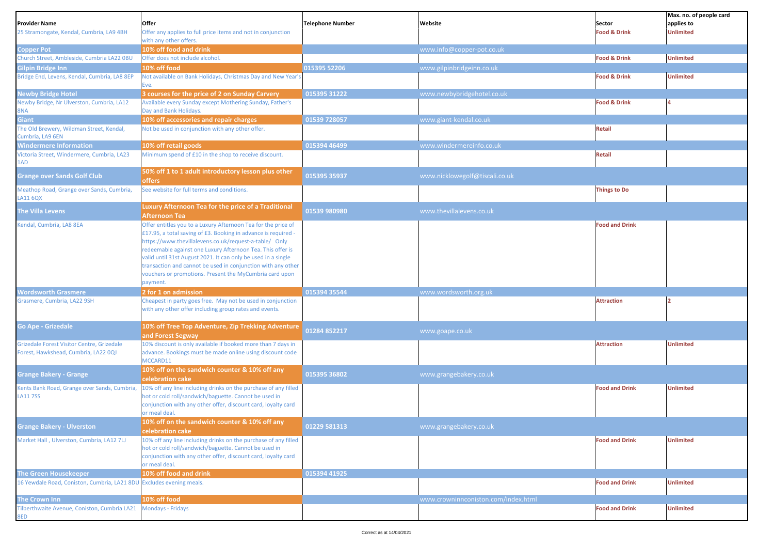|                                                                                    |                                                                                                                           |                         |                                     |                         | Max. no. of people card |
|------------------------------------------------------------------------------------|---------------------------------------------------------------------------------------------------------------------------|-------------------------|-------------------------------------|-------------------------|-------------------------|
| <b>Provider Name</b>                                                               | Offer                                                                                                                     | <b>Telephone Number</b> | Website                             | Sector                  | applies to              |
| 25 Stramongate, Kendal, Cumbria, LA9 4BH                                           | Offer any applies to full price items and not in conjunction                                                              |                         |                                     | <b>Food &amp; Drink</b> | <b>Unlimited</b>        |
|                                                                                    | with any other offers.                                                                                                    |                         |                                     |                         |                         |
| <b>Copper Pot</b>                                                                  | 10% off food and drink                                                                                                    |                         | www.info@copper-pot.co.uk           |                         |                         |
| Church Street, Ambleside, Cumbria LA22 0BU                                         | Offer does not include alcohol.                                                                                           |                         |                                     | <b>Food &amp; Drink</b> | <b>Unlimited</b>        |
| Gilpin Bridge Inn                                                                  | 10% off food                                                                                                              | 015395 52206            | www.gilpinbridgeinn.co.uk           |                         |                         |
| Bridge End, Levens, Kendal, Cumbria, LA8 8EP                                       | Not available on Bank Holidays, Christmas Day and New Year's                                                              |                         |                                     | <b>Food &amp; Drink</b> | <b>Unlimited</b>        |
|                                                                                    | Eve.                                                                                                                      |                         |                                     |                         |                         |
| <b>Newby Bridge Hotel</b>                                                          | 3 courses for the price of 2 on Sunday Carvery                                                                            | 015395 31222            | www.newbybridgehotel.co.uk          |                         |                         |
| Newby Bridge, Nr Ulverston, Cumbria, LA12                                          | Available every Sunday except Mothering Sunday, Father's                                                                  |                         |                                     | <b>Food &amp; Drink</b> |                         |
| 8NA                                                                                | Day and Bank Holidays.                                                                                                    |                         |                                     |                         |                         |
| <b>Giant</b>                                                                       | 10% off accessories and repair charges                                                                                    | 01539 728057            | www.giant-kendal.co.uk              |                         |                         |
| The Old Brewery, Wildman Street, Kendal,<br>Cumbria, LA9 6EN                       | Not be used in conjunction with any other offer.                                                                          |                         |                                     | Retail                  |                         |
| <b>Windermere Information</b>                                                      | 10% off retail goods                                                                                                      | 015394 46499            | www.windermereinfo.co.uk            |                         |                         |
| Victoria Street, Windermere, Cumbria, LA23                                         | Minimum spend of £10 in the shop to receive discount.                                                                     |                         |                                     | Retail                  |                         |
| 1AD                                                                                |                                                                                                                           |                         |                                     |                         |                         |
| <b>Grange over Sands Golf Club</b>                                                 | 50% off 1 to 1 adult introductory lesson plus other<br><b>offers</b>                                                      | 015395 35937            | www.nicklowegolf@tiscali.co.uk      |                         |                         |
| Meathop Road, Grange over Sands, Cumbria,                                          | See website for full terms and conditions.                                                                                |                         |                                     | <b>Things to Do</b>     |                         |
| <b>LA11 6QX</b>                                                                    |                                                                                                                           |                         |                                     |                         |                         |
| The Villa Levens                                                                   | Luxury Afternoon Tea for the price of a Traditional                                                                       | 01539 980980            | www.thevillalevens.co.uk            |                         |                         |
|                                                                                    | Afternoon Tea                                                                                                             |                         |                                     |                         |                         |
| Kendal, Cumbria, LA8 8EA                                                           | Offer entitles you to a Luxury Afternoon Tea for the price of                                                             |                         |                                     | <b>Food and Drink</b>   |                         |
|                                                                                    | £17.95, a total saving of £3. Booking in advance is required -                                                            |                         |                                     |                         |                         |
|                                                                                    | https://www.thevillalevens.co.uk/request-a-table/ Only                                                                    |                         |                                     |                         |                         |
|                                                                                    | redeemable against one Luxury Afternoon Tea. This offer is                                                                |                         |                                     |                         |                         |
|                                                                                    | valid until 31st August 2021. It can only be used in a single                                                             |                         |                                     |                         |                         |
|                                                                                    | transaction and cannot be used in conjunction with any other                                                              |                         |                                     |                         |                         |
|                                                                                    | vouchers or promotions. Present the MyCumbria card upon                                                                   |                         |                                     |                         |                         |
|                                                                                    | payment.                                                                                                                  |                         |                                     |                         |                         |
| <b>Wordsworth Grasmere</b>                                                         | 2 for 1 on admission                                                                                                      | 015394 35544            | www.wordsworth.org.uk               |                         |                         |
| Grasmere, Cumbria, LA22 9SH                                                        | Cheapest in party goes free. May not be used in conjunction                                                               |                         |                                     | <b>Attraction</b>       |                         |
|                                                                                    | with any other offer including group rates and events.                                                                    |                         |                                     |                         |                         |
| <b>Go Ape - Grizedale</b>                                                          |                                                                                                                           |                         |                                     |                         |                         |
|                                                                                    | 10% off Tree Top Adventure, Zip Trekking Adventure                                                                        | 01284 852217            | www.goape.co.uk                     |                         |                         |
|                                                                                    | and Forest Segway                                                                                                         |                         |                                     |                         |                         |
| Grizedale Forest Visitor Centre, Grizedale<br>Forest, Hawkshead, Cumbria, LA22 0QJ | 10% discount is only available if booked more than 7 days in<br>advance. Bookings must be made online using discount code |                         |                                     | <b>Attraction</b>       | <b>Unlimited</b>        |
|                                                                                    | MCCARD11                                                                                                                  |                         |                                     |                         |                         |
|                                                                                    | 10% off on the sandwich counter & 10% off any                                                                             |                         |                                     |                         |                         |
| <b>Grange Bakery - Grange</b>                                                      | celebration cake                                                                                                          | 015395 36802            | www.grangebakery.co.uk              |                         |                         |
| Kents Bank Road, Grange over Sands, Cumbria                                        | 10% off any line including drinks on the purchase of any filled                                                           |                         |                                     | <b>Food and Drink</b>   | <b>Unlimited</b>        |
| <b>LA117SS</b>                                                                     | hot or cold roll/sandwich/baguette. Cannot be used in                                                                     |                         |                                     |                         |                         |
|                                                                                    | conjunction with any other offer, discount card, loyalty card                                                             |                         |                                     |                         |                         |
|                                                                                    | or meal deal.                                                                                                             |                         |                                     |                         |                         |
|                                                                                    | 10% off on the sandwich counter & 10% off any                                                                             |                         |                                     |                         |                         |
| <b>Grange Bakery - Ulverston</b>                                                   | celebration cake                                                                                                          | 01229 581313            | www.grangebakery.co.uk              |                         |                         |
| Market Hall, Ulverston, Cumbria, LA12 7LJ                                          | 10% off any line including drinks on the purchase of any filled                                                           |                         |                                     | <b>Food and Drink</b>   | <b>Unlimited</b>        |
|                                                                                    | hot or cold roll/sandwich/baguette. Cannot be used in                                                                     |                         |                                     |                         |                         |
|                                                                                    | conjunction with any other offer, discount card, loyalty card                                                             |                         |                                     |                         |                         |
|                                                                                    | or meal deal.                                                                                                             |                         |                                     |                         |                         |
| <b>The Green Housekeeper</b>                                                       | 10% off food and drink                                                                                                    | 015394 41925            |                                     |                         |                         |
| 16 Yewdale Road, Coniston, Cumbria, LA21 8DU Excludes evening meals.               |                                                                                                                           |                         |                                     | <b>Food and Drink</b>   | <b>Unlimited</b>        |
|                                                                                    |                                                                                                                           |                         |                                     |                         |                         |
| The Crown Inn                                                                      | 10% off food                                                                                                              |                         | www.crowninnconiston.com/index.html |                         |                         |
| Filberthwaite Avenue, Coniston, Cumbria LA21<br>8ED                                | Mondays - Fridays                                                                                                         |                         |                                     | <b>Food and Drink</b>   | <b>Unlimited</b>        |
|                                                                                    |                                                                                                                           |                         |                                     |                         |                         |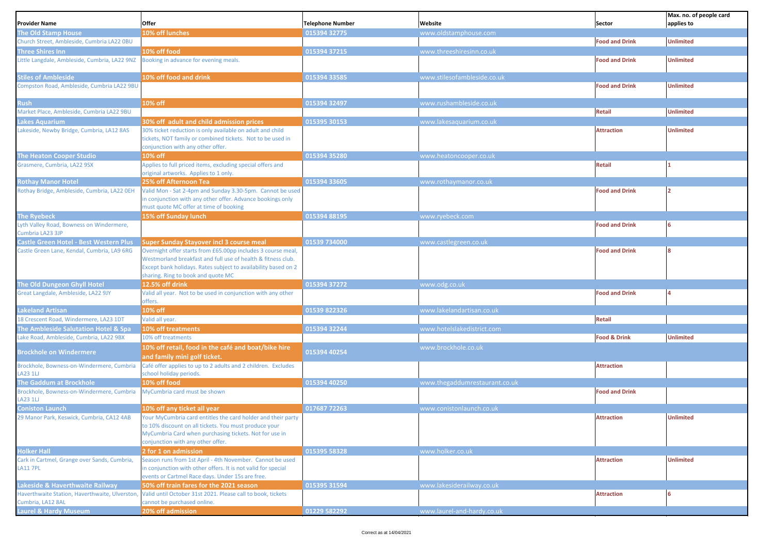|                                                                     |                                                                                                                                                                                                                                      |                         |                               |                         | Max. no. of people card |
|---------------------------------------------------------------------|--------------------------------------------------------------------------------------------------------------------------------------------------------------------------------------------------------------------------------------|-------------------------|-------------------------------|-------------------------|-------------------------|
| Provider Name                                                       | Offer                                                                                                                                                                                                                                | <b>Telephone Number</b> | Website                       | Sector                  | applies to              |
| The Old Stamp House                                                 | 10% off lunches                                                                                                                                                                                                                      | 015394 32775            | www.oldstamphouse.com         |                         |                         |
| Church Street, Ambleside, Cumbria LA22 0BU                          |                                                                                                                                                                                                                                      |                         |                               | <b>Food and Drink</b>   | <b>Unlimited</b>        |
| Three Shires Inn                                                    | 10% off food                                                                                                                                                                                                                         | 015394 37215            | www.threeshiresinn.co.uk      |                         |                         |
| ittle Langdale, Ambleside, Cumbria, LA22 9NZ                        | Booking in advance for evening meals.                                                                                                                                                                                                |                         |                               | <b>Food and Drink</b>   | <b>Unlimited</b>        |
| <b>Stiles of Ambleside</b>                                          | 10% off food and drink                                                                                                                                                                                                               | 015394 33585            | www.stilesofambleside.co.uk   |                         |                         |
| Compston Road, Ambleside, Cumbria LA22 9BU                          |                                                                                                                                                                                                                                      |                         |                               | <b>Food and Drink</b>   | <b>Unlimited</b>        |
| <b>Rush</b>                                                         | 10% off                                                                                                                                                                                                                              | 015394 32497            | www.rushambleside.co.uk       |                         |                         |
| Market Place, Ambleside, Cumbria LA22 9BU                           |                                                                                                                                                                                                                                      |                         |                               | <b>Retail</b>           | <b>Unlimited</b>        |
| akes Aquarium                                                       | 30% off adult and child admission prices                                                                                                                                                                                             | 015395 30153            | www.lakesaquarium.co.uk       |                         |                         |
| Lakeside, Newby Bridge, Cumbria, LA12 8AS                           | 30% ticket reduction is only available on adult and child<br>tickets, NOT family or combined tickets. Not to be used in<br>conjunction with any other offer.                                                                         |                         |                               | <b>Attraction</b>       | <b>Unlimited</b>        |
| <b>The Heaton Cooper Studio</b>                                     | 10% off                                                                                                                                                                                                                              | 015394 35280            | www.heatoncooper.co.uk        |                         |                         |
| Grasmere, Cumbria, LA22 9SX                                         | Applies to full priced items, excluding special offers and<br>original artworks. Applies to 1 only.                                                                                                                                  |                         |                               | <b>Retail</b>           |                         |
| Rothay Manor Hotel                                                  | 25% off Afternoon Tea                                                                                                                                                                                                                | 015394 33605            | www.rothaymanor.co.uk         |                         |                         |
| Rothay Bridge, Ambleside, Cumbria, LA22 OEH                         | Valid Mon - Sat 2-4pm and Sunday 3.30-5pm. Cannot be used<br>in conjunction with any other offer. Advance bookings only<br>must quote MC offer at time of booking                                                                    |                         |                               | <b>Food and Drink</b>   |                         |
| <b>The Ryebeck</b>                                                  | 15% off Sunday lunch                                                                                                                                                                                                                 | 015394 88195            | www.ryebeck.com               |                         |                         |
| Lyth Valley Road, Bowness on Windermere,<br>Cumbria LA23 3JP        |                                                                                                                                                                                                                                      |                         |                               | <b>Food and Drink</b>   |                         |
| Castle Green Hotel - Best Western Plus                              | <b>Super Sunday Stayover incl 3 course meal</b>                                                                                                                                                                                      | 01539 734000            | www.castlegreen.co.uk         |                         |                         |
| Castle Green Lane, Kendal, Cumbria, LA9 6RG                         | Overnight offer starts from £65.00pp includes 3 course meal,<br>Westmorland breakfast and full use of health & fitness club.<br>Except bank holidays. Rates subject to availability based on 2<br>sharing. Ring to book and quote MC |                         |                               | <b>Food and Drink</b>   |                         |
| The Old Dungeon Ghyll Hotel                                         | 12.5% off drink                                                                                                                                                                                                                      | 015394 37272            | www.odg.co.uk                 |                         |                         |
| Great Langdale, Ambleside, LA22 9JY                                 | Valid all year. Not to be used in conjunction with any other<br>offers.                                                                                                                                                              |                         |                               | <b>Food and Drink</b>   |                         |
| Lakeland Artisan                                                    | 10% off                                                                                                                                                                                                                              | 01539 822326            | www.lakelandartisan.co.uk     |                         |                         |
| 18 Crescent Road, Windermere, LA23 1DT                              | Valid all year.                                                                                                                                                                                                                      |                         |                               | <b>Retail</b>           |                         |
| The Ambleside Salutation Hotel & Spa                                | 10% off treatments                                                                                                                                                                                                                   | 015394 32244            | www.hotelslakedistrict.com    |                         |                         |
| ake Road, Ambleside, Cumbria, LA22 9BX                              | 10% off treatments                                                                                                                                                                                                                   |                         |                               | <b>Food &amp; Drink</b> | <b>Unlimited</b>        |
| Brockhole on Windermere                                             | 10% off retail, food in the café and boat/bike hire<br>and family mini golf ticket.                                                                                                                                                  | 015394 40254            | www.brockhole.co.uk           |                         |                         |
| Brockhole, Bowness-on-Windermere, Cumbria<br>A231L                  | Café offer applies to up to 2 adults and 2 children. Excludes<br>school holiday periods.                                                                                                                                             |                         |                               | <b>Attraction</b>       |                         |
| The Gaddum at Brockhole                                             | 10% off food                                                                                                                                                                                                                         | 015394 40250            | www.thegaddumrestaurant.co.uk |                         |                         |
| Brockhole, Bowness-on-Windermere, Cumbria<br>A231U                  | MyCumbria card must be shown                                                                                                                                                                                                         |                         |                               | <b>Food and Drink</b>   |                         |
| <b>Coniston Launch</b>                                              | 10% off any ticket all year                                                                                                                                                                                                          | 017687 72263            | www.conistonlaunch.co.uk      |                         |                         |
| 29 Manor Park, Keswick, Cumbria, CA12 4AB                           | Your MyCumbria card entitles the card holder and their party<br>o 10% discount on all tickets. You must produce your<br>MyCumbria Card when purchasing tickets. Not for use in<br>conjunction with any other offer.                  |                         |                               | <b>Attraction</b>       | <b>Unlimited</b>        |
| <b>Holker Hall</b>                                                  | 2 for 1 on admission                                                                                                                                                                                                                 | 015395 58328            | www.holker.co.uk              |                         |                         |
| Cark in Cartmel, Grange over Sands, Cumbria,<br><b>LA11 7PL</b>     | Season runs from 1st April - 4th November. Cannot be used<br>in conjunction with other offers. It is not valid for special<br>events or Cartmel Race days. Under 15s are free.                                                       |                         |                               | <b>Attraction</b>       | <b>Unlimited</b>        |
| akeside & Haverthwaite Railway                                      | 50% off train fares for the 2021 season                                                                                                                                                                                              | 015395 31594            | www.lakesiderailway.co.uk     |                         |                         |
| Haverthwaite Station, Haverthwaite, Ulverston,<br>Cumbria, LA12 8AL | Valid until October 31st 2021. Please call to book, tickets<br>cannot be purchased online.                                                                                                                                           |                         |                               | <b>Attraction</b>       |                         |
| <b>Laurel &amp; Hardy Museum</b>                                    | 20% off admission                                                                                                                                                                                                                    | 01229 582292            | www.laurel-and-hardy.co.uk    |                         |                         |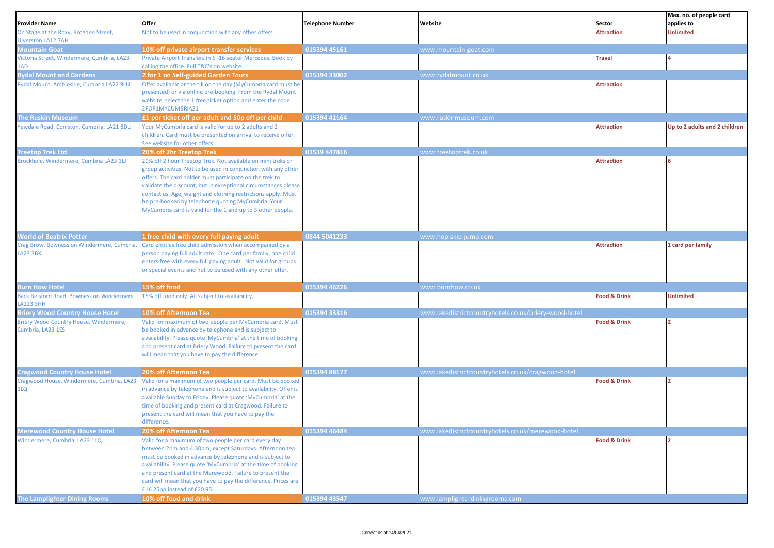| <b>Provider Name</b><br>On Stage at the Roxy, Brogden Street, | Offer<br>Not to be used in conjunction with any other offers.                                                                                                                                                                                                                                                                                                                                                                                    | <b>Telephone Number</b> | Website                                               | Sector<br><b>Attraction</b> | Max. no. of people card<br>applies to<br><b>Unlimited</b> |
|---------------------------------------------------------------|--------------------------------------------------------------------------------------------------------------------------------------------------------------------------------------------------------------------------------------------------------------------------------------------------------------------------------------------------------------------------------------------------------------------------------------------------|-------------------------|-------------------------------------------------------|-----------------------------|-----------------------------------------------------------|
| <b>Ulverston LA12 7AH</b>                                     |                                                                                                                                                                                                                                                                                                                                                                                                                                                  |                         |                                                       |                             |                                                           |
| <b>Mountain Goat</b>                                          | 10% off private airport transfer services                                                                                                                                                                                                                                                                                                                                                                                                        | 015394 45161            | www.mountain-goat.com                                 | <b>Travel</b>               |                                                           |
| Victoria Street, Windermere, Cumbria, LA23<br>LAD             | Private Airport Transfers in 6 -16 seater Mercedes. Book by<br>calling the office. Full T&C's on website.                                                                                                                                                                                                                                                                                                                                        |                         |                                                       |                             |                                                           |
| <b>Rydal Mount and Gardens</b>                                | 2 for 1 on Self-guided Garden Tours                                                                                                                                                                                                                                                                                                                                                                                                              | 015394 33002            | www.rydalmount.co.uk                                  |                             |                                                           |
| Rydal Mount, Ambleside, Cumbria LA22 9LU                      | Offer available at the till on the day (MyCumbria card must be                                                                                                                                                                                                                                                                                                                                                                                   |                         |                                                       | <b>Attraction</b>           |                                                           |
|                                                               | presented) or via online pre-booking. From the Rydal Mount                                                                                                                                                                                                                                                                                                                                                                                       |                         |                                                       |                             |                                                           |
|                                                               | website, select the 1 free ticket option and enter the code:                                                                                                                                                                                                                                                                                                                                                                                     |                         |                                                       |                             |                                                           |
|                                                               | 2FOR1MYCUMBRIA21                                                                                                                                                                                                                                                                                                                                                                                                                                 |                         |                                                       |                             |                                                           |
| <b>The Ruskin Museum</b>                                      | £1 per ticket off per adult and 50p off per child                                                                                                                                                                                                                                                                                                                                                                                                | 015394 41164            | www.ruskinmuseum.com                                  |                             |                                                           |
| Yewdale Road, Coniston, Cumbria, LA21 8DU                     | Your MyCumbria card is valid for up to 2 adults and 2<br>children. Card must be presented on arrival to receive offer.<br>See website for other offers                                                                                                                                                                                                                                                                                           |                         |                                                       | <b>Attraction</b>           | Up to 2 adults and 2 children                             |
| <b>Treetop Trek Ltd</b>                                       | 20% off 2hr Treetop Trek                                                                                                                                                                                                                                                                                                                                                                                                                         | 01539 447816            | www.treetoptrek.co.uk                                 |                             |                                                           |
| Brockhole, Windermere, Cumbria LA23 1LJ                       | 20% off 2 hour Treetop Trek. Not available on mini treks or<br>group activities. Not to be used in conjunction with any other<br>offers. The card holder must participate on the trek to<br>validate the discount, but in exceptional circumstances please<br>contact us. Age, weight and clothing restrictions apply. Must<br>be pre-booked by telephone quoting MyCumbria. Your<br>MyCumbria card is valid for the 1 and up to 3 other people. |                         |                                                       | <b>Attraction</b>           |                                                           |
| <b>World of Beatrix Potter</b>                                | 1 free child with every full paying adult                                                                                                                                                                                                                                                                                                                                                                                                        | 0844 5041233            | www.hop-skip-jump.com                                 |                             |                                                           |
| Crag Brow, Bowness on Windermere, Cumbria,<br>LA23 3BX        | Card entitles free child admission when accompanied by a<br>person paying full adult rate. One card per family, one child<br>enters free with every full paying adult. Not valid for groups<br>or special events and not to be used with any other offer.                                                                                                                                                                                        |                         |                                                       | <b>Attraction</b>           | 1 card per family                                         |
| <b>Burn How Hotel</b>                                         | 15% off food                                                                                                                                                                                                                                                                                                                                                                                                                                     | 015394 46226            | www.burnhow.co.uk                                     |                             |                                                           |
| Back Belsford Road, Bowness on Windermere<br>A223 3HH         | 15% off food only. All subject to availability.                                                                                                                                                                                                                                                                                                                                                                                                  |                         |                                                       | <b>Food &amp; Drink</b>     | <b>Unlimited</b>                                          |
| <b>Briery Wood Country House Hotel</b>                        | 10% off Afternoon Tea                                                                                                                                                                                                                                                                                                                                                                                                                            | 015394 33316            | www.lakedistrictcountryhotels.co.uk/briery-wood-hotel |                             |                                                           |
| Briery Wood Country House, Windermere,<br>Cumbria, LA23 1ES   | Valid for maximum of two people per MyCumbria card. Must<br>be booked in advance by telephone and is subject to<br>availability. Please quote 'MyCumbria' at the time of booking<br>and present card at Briery Wood. Failure to present the card<br>will mean that you have to pay the difference.                                                                                                                                               |                         |                                                       | <b>Food &amp; Drink</b>     | 12                                                        |
| <b>Cragwood Country House Hotel</b>                           | 20% off Afternoon Tea                                                                                                                                                                                                                                                                                                                                                                                                                            | 015394 88177            | www.lakedistrictcountryhotels.co.uk/cragwood-hotel    |                             |                                                           |
| Cragwood House, Windermere, Cumbria, LA23<br>1LQ              | Valid for a maximum of two people per card. Must be booked<br>in advance by telephone and is subject to availability. Offer is<br>available Sunday to Friday. Please quote 'MyCumbria' at the<br>time of booking and present card at Cragwood. Failure to<br>present the card will mean that you have to pay the<br>difference.                                                                                                                  |                         |                                                       | <b>Food &amp; Drink</b>     | כו                                                        |
| <b>Merewood Country House Hotel</b>                           | 20% off Afternoon Tea                                                                                                                                                                                                                                                                                                                                                                                                                            | 015394 46484            | www.lakedistrictcountryhotels.co.uk/merewood-hotel    |                             |                                                           |
| Windermere, Cumbria, LA23 1LQ                                 | Valid for a maximum of two people per card every day<br>between 2pm and 4.30pm, except Saturdays. Afternoon tea<br>must be booked in advance by telephone and is subject to<br>availability. Please quote 'MyCumbria' at the time of booking<br>and present card at the Merewood. Failure to present the<br>card will mean that you have to pay the difference. Prices are<br>£16.25pp instead of £20.95.                                        |                         |                                                       | <b>Food &amp; Drink</b>     |                                                           |
| <b>The Lamplighter Dining Rooms</b>                           | 10% off food and drink                                                                                                                                                                                                                                                                                                                                                                                                                           | 015394 43547            | www.lamplighterdiningrooms.com                        |                             |                                                           |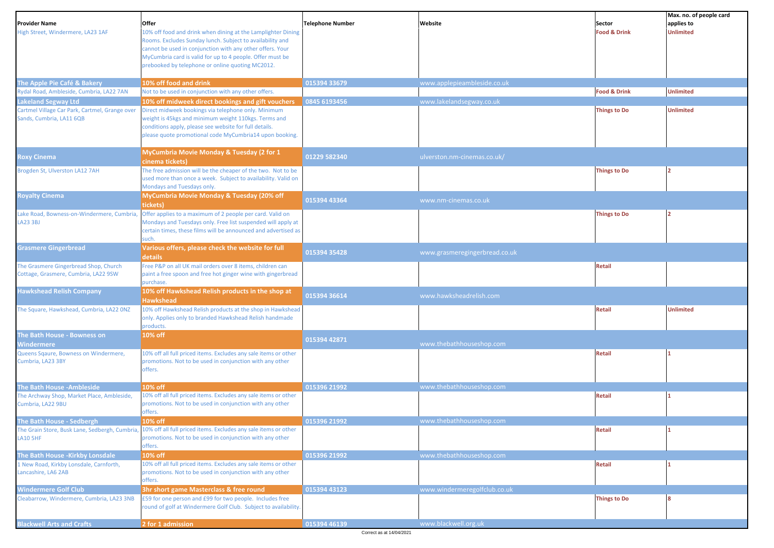| <b>Provider Name</b><br>High Street, Windermere, LA23 1AF                     | Offer<br>10% off food and drink when dining at the Lamplighter Dining<br>Rooms. Excludes Sunday lunch. Subject to availability and<br>cannot be used in conjunction with any other offers. Your<br>MyCumbria card is valid for up to 4 people. Offer must be<br>prebooked by telephone or online quoting MC2012. | <b>Telephone Number</b> | Website                       | Sector<br><b>Food &amp; Drink</b> | Max. no. of people card<br>applies to<br><b>Unlimited</b> |
|-------------------------------------------------------------------------------|------------------------------------------------------------------------------------------------------------------------------------------------------------------------------------------------------------------------------------------------------------------------------------------------------------------|-------------------------|-------------------------------|-----------------------------------|-----------------------------------------------------------|
| The Apple Pie Café & Bakery                                                   | 10% off food and drink                                                                                                                                                                                                                                                                                           | 015394 33679            | www.applepieambleside.co.uk   |                                   |                                                           |
| Rydal Road, Ambleside, Cumbria, LA22 7AN                                      | Not to be used in conjunction with any other offers.                                                                                                                                                                                                                                                             |                         |                               | <b>Food &amp; Drink</b>           | <b>Unlimited</b>                                          |
| Lakeland Segway Ltd                                                           | 10% off midweek direct bookings and gift vouchers                                                                                                                                                                                                                                                                | 0845 6193456            | www.lakelandsegway.co.uk      |                                   |                                                           |
| Cartmel Village Car Park, Cartmel, Grange over<br>Sands, Cumbria, LA11 6QB    | Direct midweek bookings via telephone only. Minimum<br>weight is 45kgs and minimum weight 110kgs. Terms and<br>conditions apply, please see website for full details.<br>please quote promotional code MyCumbria14 upon booking.                                                                                 |                         |                               | <b>Things to Do</b>               | <b>Unlimited</b>                                          |
| <b>Roxy Cinema</b>                                                            | MyCumbria Movie Monday & Tuesday (2 for 1<br>cinema tickets)                                                                                                                                                                                                                                                     | 01229 582340            | ulverston.nm-cinemas.co.uk/   |                                   |                                                           |
| Brogden St, Ulverston LA12 7AH                                                | The free admission will be the cheaper of the two. Not to be<br>used more than once a week. Subject to availability. Valid on<br>Mondays and Tuesdays only.                                                                                                                                                      |                         |                               | <b>Things to Do</b>               |                                                           |
| <b>Royalty Cinema</b>                                                         | MyCumbria Movie Monday & Tuesday (20% off<br>tickets)                                                                                                                                                                                                                                                            | 015394 43364            | www.nm-cinemas.co.uk          |                                   |                                                           |
| ake Road, Bowness-on-Windermere, Cumbria,<br><b>LA23 3BJ</b>                  | Offer applies to a maximum of 2 people per card. Valid on<br>Mondays and Tuesdays only. Free list suspended will apply at<br>certain times, these films will be announced and advertised as<br>such.                                                                                                             |                         |                               | <b>Things to Do</b>               |                                                           |
| <b>Grasmere Gingerbread</b>                                                   | Various offers, please check the website for full<br>details                                                                                                                                                                                                                                                     | 015394 35428            | www.grasmeregingerbread.co.uk |                                   |                                                           |
| The Grasmere Gingerbread Shop, Church<br>Cottage, Grasmere, Cumbria, LA22 9SW | Free P&P on all UK mail orders over 8 items, children can<br>paint a free spoon and free hot ginger wine with gingerbread<br>purchase.                                                                                                                                                                           |                         |                               | <b>Retail</b>                     |                                                           |
| <b>Hawkshead Relish Company</b>                                               | 10% off Hawkshead Relish products in the shop at<br><b>Hawkshead</b>                                                                                                                                                                                                                                             | 015394 36614            | www.hawksheadrelish.com       |                                   |                                                           |
| The Square, Hawkshead, Cumbria, LA22 ONZ                                      | 10% off Hawkshead Relish products at the shop in Hawkshead<br>only. Applies only to branded Hawkshead Relish handmade<br>products.                                                                                                                                                                               |                         |                               | <b>Retail</b>                     | <b>Unlimited</b>                                          |
| The Bath House - Bowness on<br><b>Nindermere</b>                              | 10% off                                                                                                                                                                                                                                                                                                          | 015394 42871            | www.thebathhouseshop.com      |                                   |                                                           |
| Queens Sqaure, Bowness on Windermere,<br>Cumbria, LA23 3BY                    | 10% off all full priced items. Excludes any sale items or other<br>promotions. Not to be used in conjunction with any other<br>offers.                                                                                                                                                                           |                         |                               | <b>Retail</b>                     |                                                           |
| The Bath House -Ambleside                                                     | 10% off                                                                                                                                                                                                                                                                                                          | 015396 21992            | www.thebathhouseshop.com      |                                   |                                                           |
| The Archway Shop, Market Place, Ambleside,<br>Cumbria, LA22 9BU               | 10% off all full priced items. Excludes any sale items or other<br>promotions. Not to be used in conjunction with any other<br>offers.                                                                                                                                                                           |                         |                               | <b>Retail</b>                     |                                                           |
| The Bath House - Sedbergh                                                     | 10% off                                                                                                                                                                                                                                                                                                          | 015396 21992            | www.thebathhouseshop.com      |                                   |                                                           |
| <b>LA10 5HF</b>                                                               | The Grain Store, Busk Lane, Sedbergh, Cumbria, 10% off all full priced items. Excludes any sale items or other<br>promotions. Not to be used in conjunction with any other<br>offers.                                                                                                                            |                         |                               | <b>Retail</b>                     |                                                           |
| The Bath House -Kirkby Lonsdale                                               | 10% off                                                                                                                                                                                                                                                                                                          | 015396 21992            | www.thebathhouseshop.com      |                                   |                                                           |
| 1 New Road, Kirkby Lonsdale, Carnforth,<br>Lancashire, LA6 2AB                | 10% off all full priced items. Excludes any sale items or other<br>promotions. Not to be used in conjunction with any other<br>offers.                                                                                                                                                                           |                         |                               | <b>Retail</b>                     |                                                           |
| <b>Windermere Golf Club</b>                                                   | 3hr short game Masterclass & free round                                                                                                                                                                                                                                                                          | 015394 43123            | www.windermeregolfclub.co.uk  |                                   |                                                           |
| Cleabarrow, Windermere, Cumbria, LA23 3NB                                     | £59 for one person and £99 for two people. Includes free<br>round of golf at Windermere Golf Club. Subject to availability                                                                                                                                                                                       |                         |                               | <b>Things to Do</b>               |                                                           |
| <b>Blackwell Arts and Crafts</b>                                              | 2 for 1 admission                                                                                                                                                                                                                                                                                                | 015394 46139            | www.blackwell.org.uk          |                                   |                                                           |